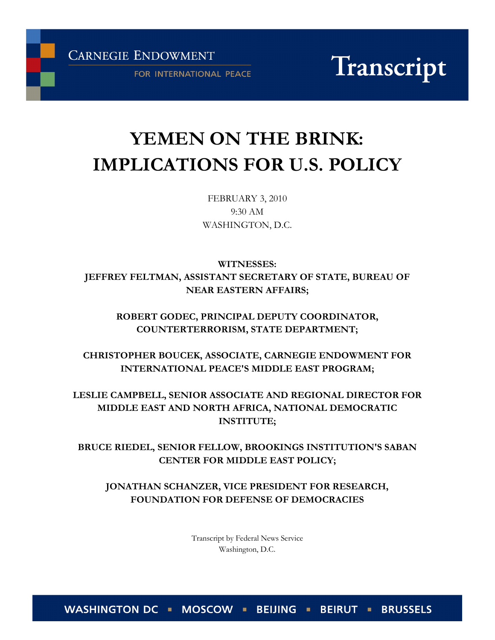**CARNEGIE ENDOWMENT** 

FOR INTERNATIONAL PEACE

Transcript

# YEMEN ON THE BRINK: IMPLICATIONS FOR U.S. POLICY

FEBRUARY 3, 2010 9:30 AM WASHINGTON, D.C.

WITNESSES: JEFFREY FELTMAN, ASSISTANT SECRETARY OF STATE, BUREAU OF NEAR EASTERN AFFAIRS;

ROBERT GODEC, PRINCIPAL DEPUTY COORDINATOR, COUNTERTERRORISM, STATE DEPARTMENT;

CHRISTOPHER BOUCEK, ASSOCIATE, CARNEGIE ENDOWMENT FOR INTERNATIONAL PEACE'S MIDDLE EAST PROGRAM;

LESLIE CAMPBELL, SENIOR ASSOCIATE AND REGIONAL DIRECTOR FOR MIDDLE EAST AND NORTH AFRICA, NATIONAL DEMOCRATIC INSTITUTE;

BRUCE RIEDEL, SENIOR FELLOW, BROOKINGS INSTITUTION'S SABAN CENTER FOR MIDDLE EAST POLICY;

JONATHAN SCHANZER, VICE PRESIDENT FOR RESEARCH, FOUNDATION FOR DEFENSE OF DEMOCRACIES

> Transcript by Federal News Service Washington, D.C.

WASHINGTON DC · MOSCOW · BEIJING · BEIRUT · BRUSSELS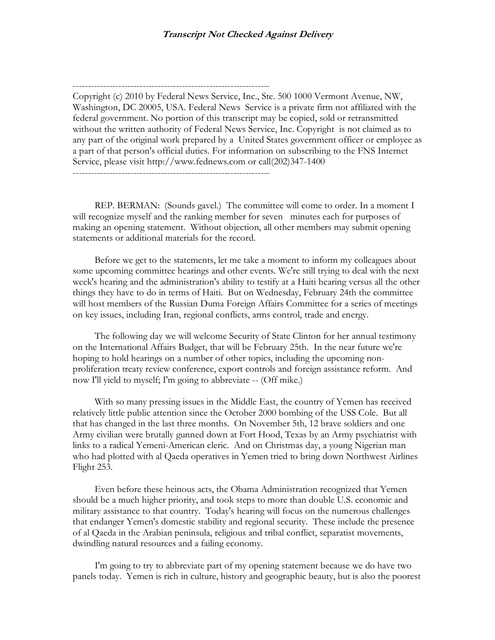-----------------------------------------------------------------

Copyright (c) 2010 by Federal News Service, Inc., Ste. 500 1000 Vermont Avenue, NW, Washington, DC 20005, USA. Federal News Service is a private firm not affiliated with the federal government. No portion of this transcript may be copied, sold or retransmitted without the written authority of Federal News Service, Inc. Copyright is not claimed as to any part of the original work prepared by a United States government officer or employee as a part of that person's official duties. For information on subscribing to the FNS Internet Service, please visit http://www.fednews.com or call(202)347-1400

-----------------------------------------------------------------

 REP. BERMAN: (Sounds gavel.) The committee will come to order. In a moment I will recognize myself and the ranking member for seven minutes each for purposes of making an opening statement. Without objection, all other members may submit opening statements or additional materials for the record.

 Before we get to the statements, let me take a moment to inform my colleagues about some upcoming committee hearings and other events. We're still trying to deal with the next week's hearing and the administration's ability to testify at a Haiti hearing versus all the other things they have to do in terms of Haiti. But on Wednesday, February 24th the committee will host members of the Russian Duma Foreign Affairs Committee for a series of meetings on key issues, including Iran, regional conflicts, arms control, trade and energy.

 The following day we will welcome Security of State Clinton for her annual testimony on the International Affairs Budget, that will be February 25th. In the near future we're hoping to hold hearings on a number of other topics, including the upcoming nonproliferation treaty review conference, export controls and foreign assistance reform. And now I'll yield to myself; I'm going to abbreviate -- (Off mike.)

 With so many pressing issues in the Middle East, the country of Yemen has received relatively little public attention since the October 2000 bombing of the USS Cole. But all that has changed in the last three months. On November 5th, 12 brave soldiers and one Army civilian were brutally gunned down at Fort Hood, Texas by an Army psychiatrist with links to a radical Yemeni-American cleric. And on Christmas day, a young Nigerian man who had plotted with al Qaeda operatives in Yemen tried to bring down Northwest Airlines Flight 253.

 Even before these heinous acts, the Obama Administration recognized that Yemen should be a much higher priority, and took steps to more than double U.S. economic and military assistance to that country. Today's hearing will focus on the numerous challenges that endanger Yemen's domestic stability and regional security. These include the presence of al Qaeda in the Arabian peninsula, religious and tribal conflict, separatist movements, dwindling natural resources and a failing economy.

 I'm going to try to abbreviate part of my opening statement because we do have two panels today. Yemen is rich in culture, history and geographic beauty, but is also the poorest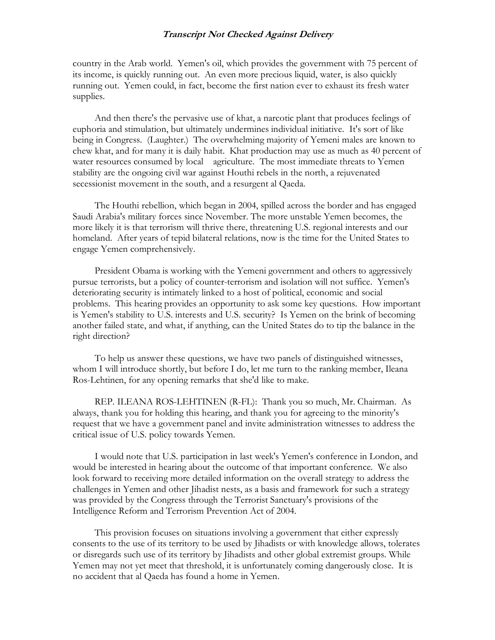country in the Arab world. Yemen's oil, which provides the government with 75 percent of its income, is quickly running out. An even more precious liquid, water, is also quickly running out. Yemen could, in fact, become the first nation ever to exhaust its fresh water supplies.

 And then there's the pervasive use of khat, a narcotic plant that produces feelings of euphoria and stimulation, but ultimately undermines individual initiative. It's sort of like being in Congress. (Laughter.) The overwhelming majority of Yemeni males are known to chew khat, and for many it is daily habit. Khat production may use as much as 40 percent of water resources consumed by local agriculture. The most immediate threats to Yemen stability are the ongoing civil war against Houthi rebels in the north, a rejuvenated secessionist movement in the south, and a resurgent al Qaeda.

 The Houthi rebellion, which began in 2004, spilled across the border and has engaged Saudi Arabia's military forces since November. The more unstable Yemen becomes, the more likely it is that terrorism will thrive there, threatening U.S. regional interests and our homeland. After years of tepid bilateral relations, now is the time for the United States to engage Yemen comprehensively.

 President Obama is working with the Yemeni government and others to aggressively pursue terrorists, but a policy of counter-terrorism and isolation will not suffice. Yemen's deteriorating security is intimately linked to a host of political, economic and social problems. This hearing provides an opportunity to ask some key questions. How important is Yemen's stability to U.S. interests and U.S. security? Is Yemen on the brink of becoming another failed state, and what, if anything, can the United States do to tip the balance in the right direction?

 To help us answer these questions, we have two panels of distinguished witnesses, whom I will introduce shortly, but before I do, let me turn to the ranking member, Ileana Ros-Lehtinen, for any opening remarks that she'd like to make.

 REP. ILEANA ROS-LEHTINEN (R-FL): Thank you so much, Mr. Chairman. As always, thank you for holding this hearing, and thank you for agreeing to the minority's request that we have a government panel and invite administration witnesses to address the critical issue of U.S. policy towards Yemen.

 I would note that U.S. participation in last week's Yemen's conference in London, and would be interested in hearing about the outcome of that important conference. We also look forward to receiving more detailed information on the overall strategy to address the challenges in Yemen and other Jihadist nests, as a basis and framework for such a strategy was provided by the Congress through the Terrorist Sanctuary's provisions of the Intelligence Reform and Terrorism Prevention Act of 2004.

 This provision focuses on situations involving a government that either expressly consents to the use of its territory to be used by Jihadists or with knowledge allows, tolerates or disregards such use of its territory by Jihadists and other global extremist groups. While Yemen may not yet meet that threshold, it is unfortunately coming dangerously close. It is no accident that al Qaeda has found a home in Yemen.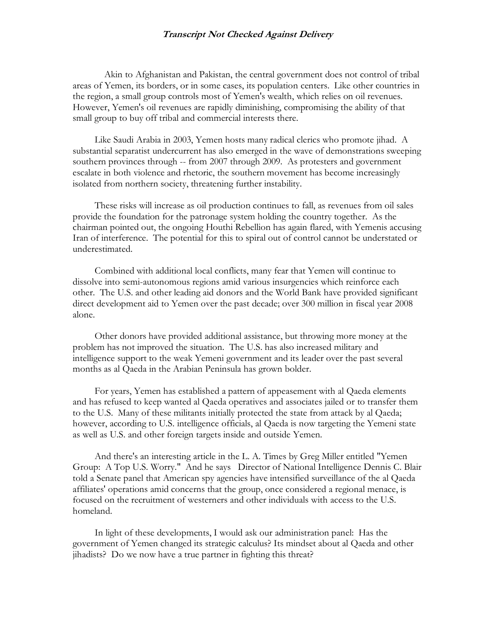Akin to Afghanistan and Pakistan, the central government does not control of tribal areas of Yemen, its borders, or in some cases, its population centers. Like other countries in the region, a small group controls most of Yemen's wealth, which relies on oil revenues. However, Yemen's oil revenues are rapidly diminishing, compromising the ability of that small group to buy off tribal and commercial interests there.

 Like Saudi Arabia in 2003, Yemen hosts many radical clerics who promote jihad. A substantial separatist undercurrent has also emerged in the wave of demonstrations sweeping southern provinces through -- from 2007 through 2009. As protesters and government escalate in both violence and rhetoric, the southern movement has become increasingly isolated from northern society, threatening further instability.

 These risks will increase as oil production continues to fall, as revenues from oil sales provide the foundation for the patronage system holding the country together. As the chairman pointed out, the ongoing Houthi Rebellion has again flared, with Yemenis accusing Iran of interference. The potential for this to spiral out of control cannot be understated or underestimated.

 Combined with additional local conflicts, many fear that Yemen will continue to dissolve into semi-autonomous regions amid various insurgencies which reinforce each other. The U.S. and other leading aid donors and the World Bank have provided significant direct development aid to Yemen over the past decade; over 300 million in fiscal year 2008 alone.

 Other donors have provided additional assistance, but throwing more money at the problem has not improved the situation. The U.S. has also increased military and intelligence support to the weak Yemeni government and its leader over the past several months as al Qaeda in the Arabian Peninsula has grown bolder.

 For years, Yemen has established a pattern of appeasement with al Qaeda elements and has refused to keep wanted al Qaeda operatives and associates jailed or to transfer them to the U.S. Many of these militants initially protected the state from attack by al Qaeda; however, according to U.S. intelligence officials, al Qaeda is now targeting the Yemeni state as well as U.S. and other foreign targets inside and outside Yemen.

 And there's an interesting article in the L. A. Times by Greg Miller entitled "Yemen Group: A Top U.S. Worry." And he says Director of National Intelligence Dennis C. Blair told a Senate panel that American spy agencies have intensified surveillance of the al Qaeda affiliates' operations amid concerns that the group, once considered a regional menace, is focused on the recruitment of westerners and other individuals with access to the U.S. homeland.

 In light of these developments, I would ask our administration panel: Has the government of Yemen changed its strategic calculus? Its mindset about al Qaeda and other jihadists? Do we now have a true partner in fighting this threat?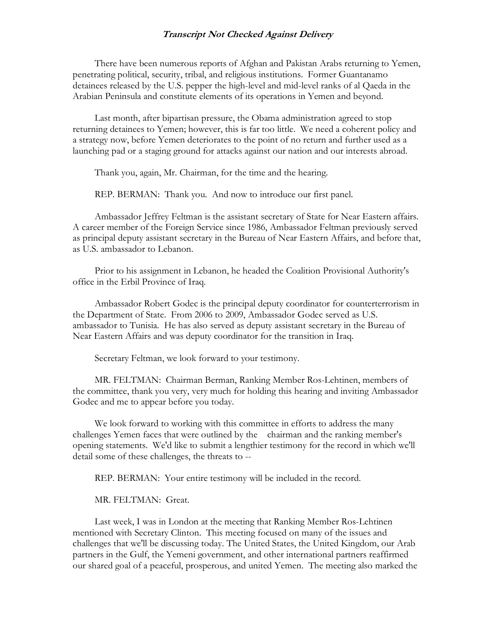There have been numerous reports of Afghan and Pakistan Arabs returning to Yemen, penetrating political, security, tribal, and religious institutions. Former Guantanamo detainees released by the U.S. pepper the high-level and mid-level ranks of al Qaeda in the Arabian Peninsula and constitute elements of its operations in Yemen and beyond.

 Last month, after bipartisan pressure, the Obama administration agreed to stop returning detainees to Yemen; however, this is far too little. We need a coherent policy and a strategy now, before Yemen deteriorates to the point of no return and further used as a launching pad or a staging ground for attacks against our nation and our interests abroad.

Thank you, again, Mr. Chairman, for the time and the hearing.

REP. BERMAN: Thank you. And now to introduce our first panel.

 Ambassador Jeffrey Feltman is the assistant secretary of State for Near Eastern affairs. A career member of the Foreign Service since 1986, Ambassador Feltman previously served as principal deputy assistant secretary in the Bureau of Near Eastern Affairs, and before that, as U.S. ambassador to Lebanon.

 Prior to his assignment in Lebanon, he headed the Coalition Provisional Authority's office in the Erbil Province of Iraq.

 Ambassador Robert Godec is the principal deputy coordinator for counterterrorism in the Department of State. From 2006 to 2009, Ambassador Godec served as U.S. ambassador to Tunisia. He has also served as deputy assistant secretary in the Bureau of Near Eastern Affairs and was deputy coordinator for the transition in Iraq.

Secretary Feltman, we look forward to your testimony.

 MR. FELTMAN: Chairman Berman, Ranking Member Ros-Lehtinen, members of the committee, thank you very, very much for holding this hearing and inviting Ambassador Godec and me to appear before you today.

 We look forward to working with this committee in efforts to address the many challenges Yemen faces that were outlined by the chairman and the ranking member's opening statements. We'd like to submit a lengthier testimony for the record in which we'll detail some of these challenges, the threats to --

REP. BERMAN: Your entire testimony will be included in the record.

MR. FELTMAN: Great.

 Last week, I was in London at the meeting that Ranking Member Ros-Lehtinen mentioned with Secretary Clinton. This meeting focused on many of the issues and challenges that we'll be discussing today. The United States, the United Kingdom, our Arab partners in the Gulf, the Yemeni government, and other international partners reaffirmed our shared goal of a peaceful, prosperous, and united Yemen. The meeting also marked the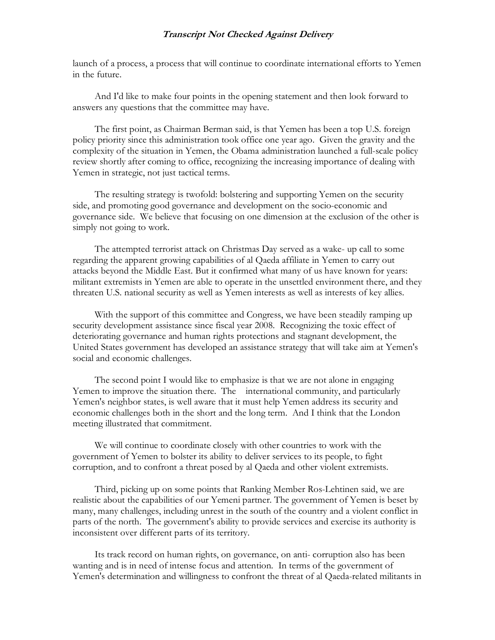launch of a process, a process that will continue to coordinate international efforts to Yemen in the future.

 And I'd like to make four points in the opening statement and then look forward to answers any questions that the committee may have.

 The first point, as Chairman Berman said, is that Yemen has been a top U.S. foreign policy priority since this administration took office one year ago. Given the gravity and the complexity of the situation in Yemen, the Obama administration launched a full-scale policy review shortly after coming to office, recognizing the increasing importance of dealing with Yemen in strategic, not just tactical terms.

 The resulting strategy is twofold: bolstering and supporting Yemen on the security side, and promoting good governance and development on the socio-economic and governance side. We believe that focusing on one dimension at the exclusion of the other is simply not going to work.

 The attempted terrorist attack on Christmas Day served as a wake- up call to some regarding the apparent growing capabilities of al Qaeda affiliate in Yemen to carry out attacks beyond the Middle East. But it confirmed what many of us have known for years: militant extremists in Yemen are able to operate in the unsettled environment there, and they threaten U.S. national security as well as Yemen interests as well as interests of key allies.

With the support of this committee and Congress, we have been steadily ramping up security development assistance since fiscal year 2008. Recognizing the toxic effect of deteriorating governance and human rights protections and stagnant development, the United States government has developed an assistance strategy that will take aim at Yemen's social and economic challenges.

 The second point I would like to emphasize is that we are not alone in engaging Yemen to improve the situation there. The international community, and particularly Yemen's neighbor states, is well aware that it must help Yemen address its security and economic challenges both in the short and the long term. And I think that the London meeting illustrated that commitment.

 We will continue to coordinate closely with other countries to work with the government of Yemen to bolster its ability to deliver services to its people, to fight corruption, and to confront a threat posed by al Qaeda and other violent extremists.

 Third, picking up on some points that Ranking Member Ros-Lehtinen said, we are realistic about the capabilities of our Yemeni partner. The government of Yemen is beset by many, many challenges, including unrest in the south of the country and a violent conflict in parts of the north. The government's ability to provide services and exercise its authority is inconsistent over different parts of its territory.

 Its track record on human rights, on governance, on anti- corruption also has been wanting and is in need of intense focus and attention. In terms of the government of Yemen's determination and willingness to confront the threat of al Qaeda-related militants in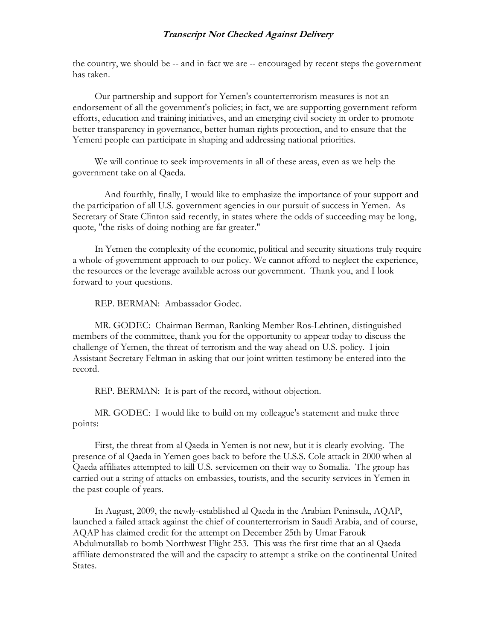the country, we should be -- and in fact we are -- encouraged by recent steps the government has taken.

 Our partnership and support for Yemen's counterterrorism measures is not an endorsement of all the government's policies; in fact, we are supporting government reform efforts, education and training initiatives, and an emerging civil society in order to promote better transparency in governance, better human rights protection, and to ensure that the Yemeni people can participate in shaping and addressing national priorities.

 We will continue to seek improvements in all of these areas, even as we help the government take on al Qaeda.

 And fourthly, finally, I would like to emphasize the importance of your support and the participation of all U.S. government agencies in our pursuit of success in Yemen. As Secretary of State Clinton said recently, in states where the odds of succeeding may be long, quote, "the risks of doing nothing are far greater."

 In Yemen the complexity of the economic, political and security situations truly require a whole-of-government approach to our policy. We cannot afford to neglect the experience, the resources or the leverage available across our government. Thank you, and I look forward to your questions.

REP. BERMAN: Ambassador Godec.

 MR. GODEC: Chairman Berman, Ranking Member Ros-Lehtinen, distinguished members of the committee, thank you for the opportunity to appear today to discuss the challenge of Yemen, the threat of terrorism and the way ahead on U.S. policy. I join Assistant Secretary Feltman in asking that our joint written testimony be entered into the record.

REP. BERMAN: It is part of the record, without objection.

 MR. GODEC: I would like to build on my colleague's statement and make three points:

 First, the threat from al Qaeda in Yemen is not new, but it is clearly evolving. The presence of al Qaeda in Yemen goes back to before the U.S.S. Cole attack in 2000 when al Qaeda affiliates attempted to kill U.S. servicemen on their way to Somalia. The group has carried out a string of attacks on embassies, tourists, and the security services in Yemen in the past couple of years.

 In August, 2009, the newly-established al Qaeda in the Arabian Peninsula, AQAP, launched a failed attack against the chief of counterterrorism in Saudi Arabia, and of course, AQAP has claimed credit for the attempt on December 25th by Umar Farouk Abdulmutallab to bomb Northwest Flight 253. This was the first time that an al Qaeda affiliate demonstrated the will and the capacity to attempt a strike on the continental United States.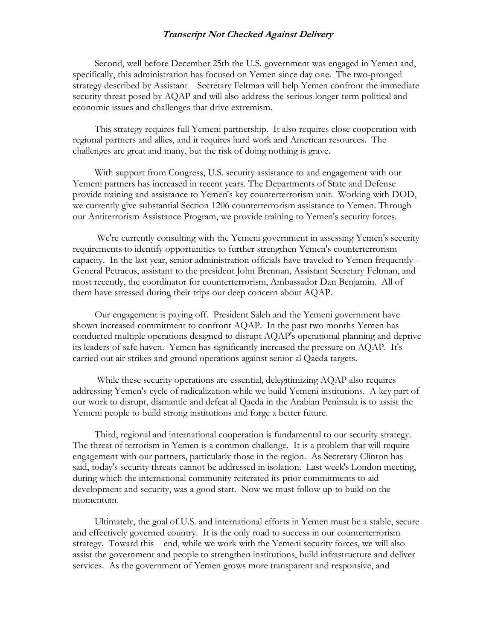Second, well before December 25th the U.S. government was engaged in Yemen and, specifically, this administration has focused on Yemen since day one. The two-pronged strategy described by Assistant Secretary Feltman will help Yemen confront the immediate security threat posed by AQAP and will also address the serious longer-term political and economic issues and challenges that drive extremism.

 This strategy requires full Yemeni partnership. It also requires close cooperation with regional partners and allies, and it requires hard work and American resources. The challenges are great and many, but the risk of doing nothing is grave.

 With support from Congress, U.S. security assistance to and engagement with our Yemeni partners has increased in recent years. The Departments of State and Defense provide training and assistance to Yemen's key counterterrorism unit. Working with DOD, we currently give substantial Section 1206 counterterrorism assistance to Yemen. Through our Antiterrorism Assistance Program, we provide training to Yemen's security forces.

 We're currently consulting with the Yemeni government in assessing Yemen's security requirements to identify opportunities to further strengthen Yemen's counterterrorism capacity. In the last year, senior administration officials have traveled to Yemen frequently -- General Petraeus, assistant to the president John Brennan, Assistant Secretary Feltman, and most recently, the coordinator for counterterrorism, Ambassador Dan Benjamin. All of them have stressed during their trips our deep concern about AQAP.

 Our engagement is paying off. President Saleh and the Yemeni government have shown increased commitment to confront AQAP. In the past two months Yemen has conducted multiple operations designed to disrupt AQAP's operational planning and deprive its leaders of safe haven. Yemen has significantly increased the pressure on AQAP. It's carried out air strikes and ground operations against senior al Qaeda targets.

 While these security operations are essential, delegitimizing AQAP also requires addressing Yemen's cycle of radicalization while we build Yemeni institutions. A key part of our work to disrupt, dismantle and defeat al Qaeda in the Arabian Peninsula is to assist the Yemeni people to build strong institutions and forge a better future.

 Third, regional and international cooperation is fundamental to our security strategy. The threat of terrorism in Yemen is a common challenge. It is a problem that will require engagement with our partners, particularly those in the region. As Secretary Clinton has said, today's security threats cannot be addressed in isolation. Last week's London meeting, during which the international community reiterated its prior commitments to aid development and security, was a good start. Now we must follow up to build on the momentum.

 Ultimately, the goal of U.S. and international efforts in Yemen must be a stable, secure and effectively governed country. It is the only road to success in our counterterrorism strategy. Toward this end, while we work with the Yemeni security forces, we will also assist the government and people to strengthen institutions, build infrastructure and deliver services. As the government of Yemen grows more transparent and responsive, and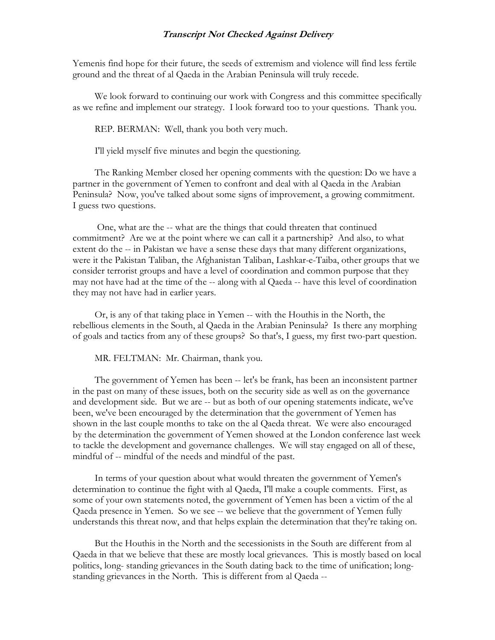Yemenis find hope for their future, the seeds of extremism and violence will find less fertile ground and the threat of al Qaeda in the Arabian Peninsula will truly recede.

 We look forward to continuing our work with Congress and this committee specifically as we refine and implement our strategy. I look forward too to your questions. Thank you.

REP. BERMAN: Well, thank you both very much.

I'll yield myself five minutes and begin the questioning.

 The Ranking Member closed her opening comments with the question: Do we have a partner in the government of Yemen to confront and deal with al Qaeda in the Arabian Peninsula? Now, you've talked about some signs of improvement, a growing commitment. I guess two questions.

 One, what are the -- what are the things that could threaten that continued commitment? Are we at the point where we can call it a partnership? And also, to what extent do the -- in Pakistan we have a sense these days that many different organizations, were it the Pakistan Taliban, the Afghanistan Taliban, Lashkar-e-Taiba, other groups that we consider terrorist groups and have a level of coordination and common purpose that they may not have had at the time of the -- along with al Qaeda -- have this level of coordination they may not have had in earlier years.

 Or, is any of that taking place in Yemen -- with the Houthis in the North, the rebellious elements in the South, al Qaeda in the Arabian Peninsula? Is there any morphing of goals and tactics from any of these groups? So that's, I guess, my first two-part question.

MR. FELTMAN: Mr. Chairman, thank you.

 The government of Yemen has been -- let's be frank, has been an inconsistent partner in the past on many of these issues, both on the security side as well as on the governance and development side. But we are -- but as both of our opening statements indicate, we've been, we've been encouraged by the determination that the government of Yemen has shown in the last couple months to take on the al Qaeda threat. We were also encouraged by the determination the government of Yemen showed at the London conference last week to tackle the development and governance challenges. We will stay engaged on all of these, mindful of -- mindful of the needs and mindful of the past.

 In terms of your question about what would threaten the government of Yemen's determination to continue the fight with al Qaeda, I'll make a couple comments. First, as some of your own statements noted, the government of Yemen has been a victim of the al Qaeda presence in Yemen. So we see -- we believe that the government of Yemen fully understands this threat now, and that helps explain the determination that they're taking on.

 But the Houthis in the North and the secessionists in the South are different from al Qaeda in that we believe that these are mostly local grievances. This is mostly based on local politics, long- standing grievances in the South dating back to the time of unification; longstanding grievances in the North. This is different from al Qaeda --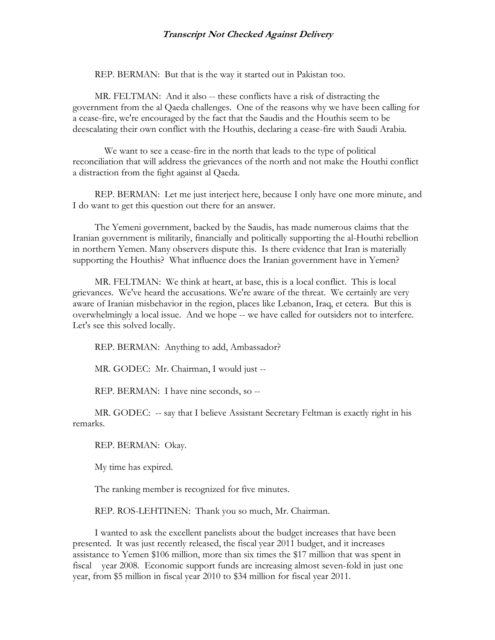REP. BERMAN: But that is the way it started out in Pakistan too.

MR. FELTMAN: And it also -- these conflicts have a risk of distracting the government from the al Qaeda challenges. One of the reasons why we have been calling for a cease-fire, we're encouraged by the fact that the Saudis and the Houthis seem to be deescalating their own conflict with the Houthis, declaring a cease-fire with Saudi Arabia.

 We want to see a cease-fire in the north that leads to the type of political reconciliation that will address the grievances of the north and not make the Houthi conflict a distraction from the fight against al Qaeda.

 REP. BERMAN: Let me just interject here, because I only have one more minute, and I do want to get this question out there for an answer.

 The Yemeni government, backed by the Saudis, has made numerous claims that the Iranian government is militarily, financially and politically supporting the al-Houthi rebellion in northern Yemen. Many observers dispute this. Is there evidence that Iran is materially supporting the Houthis? What influence does the Iranian government have in Yemen?

 MR. FELTMAN: We think at heart, at base, this is a local conflict. This is local grievances. We've heard the accusations. We're aware of the threat. We certainly are very aware of Iranian misbehavior in the region, places like Lebanon, Iraq, et cetera. But this is overwhelmingly a local issue. And we hope -- we have called for outsiders not to interfere. Let's see this solved locally.

REP. BERMAN: Anything to add, Ambassador?

MR. GODEC: Mr. Chairman, I would just --

REP. BERMAN: I have nine seconds, so --

 MR. GODEC: -- say that I believe Assistant Secretary Feltman is exactly right in his remarks.

REP. BERMAN: Okay.

My time has expired.

The ranking member is recognized for five minutes.

REP. ROS-LEHTINEN: Thank you so much, Mr. Chairman.

 I wanted to ask the excellent panelists about the budget increases that have been presented. It was just recently released, the fiscal year 2011 budget, and it increases assistance to Yemen \$106 million, more than six times the \$17 million that was spent in fiscal year 2008. Economic support funds are increasing almost seven-fold in just one year, from \$5 million in fiscal year 2010 to \$34 million for fiscal year 2011.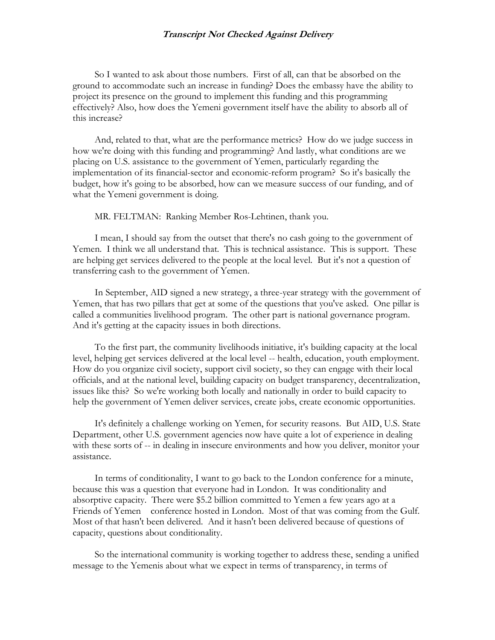So I wanted to ask about those numbers. First of all, can that be absorbed on the ground to accommodate such an increase in funding? Does the embassy have the ability to project its presence on the ground to implement this funding and this programming effectively? Also, how does the Yemeni government itself have the ability to absorb all of this increase?

 And, related to that, what are the performance metrics? How do we judge success in how we're doing with this funding and programming? And lastly, what conditions are we placing on U.S. assistance to the government of Yemen, particularly regarding the implementation of its financial-sector and economic-reform program? So it's basically the budget, how it's going to be absorbed, how can we measure success of our funding, and of what the Yemeni government is doing.

MR. FELTMAN: Ranking Member Ros-Lehtinen, thank you.

 I mean, I should say from the outset that there's no cash going to the government of Yemen. I think we all understand that. This is technical assistance. This is support. These are helping get services delivered to the people at the local level. But it's not a question of transferring cash to the government of Yemen.

 In September, AID signed a new strategy, a three-year strategy with the government of Yemen, that has two pillars that get at some of the questions that you've asked. One pillar is called a communities livelihood program. The other part is national governance program. And it's getting at the capacity issues in both directions.

 To the first part, the community livelihoods initiative, it's building capacity at the local level, helping get services delivered at the local level -- health, education, youth employment. How do you organize civil society, support civil society, so they can engage with their local officials, and at the national level, building capacity on budget transparency, decentralization, issues like this? So we're working both locally and nationally in order to build capacity to help the government of Yemen deliver services, create jobs, create economic opportunities.

 It's definitely a challenge working on Yemen, for security reasons. But AID, U.S. State Department, other U.S. government agencies now have quite a lot of experience in dealing with these sorts of -- in dealing in insecure environments and how you deliver, monitor your assistance.

 In terms of conditionality, I want to go back to the London conference for a minute, because this was a question that everyone had in London. It was conditionality and absorptive capacity. There were \$5.2 billion committed to Yemen a few years ago at a Friends of Yemen conference hosted in London. Most of that was coming from the Gulf. Most of that hasn't been delivered. And it hasn't been delivered because of questions of capacity, questions about conditionality.

 So the international community is working together to address these, sending a unified message to the Yemenis about what we expect in terms of transparency, in terms of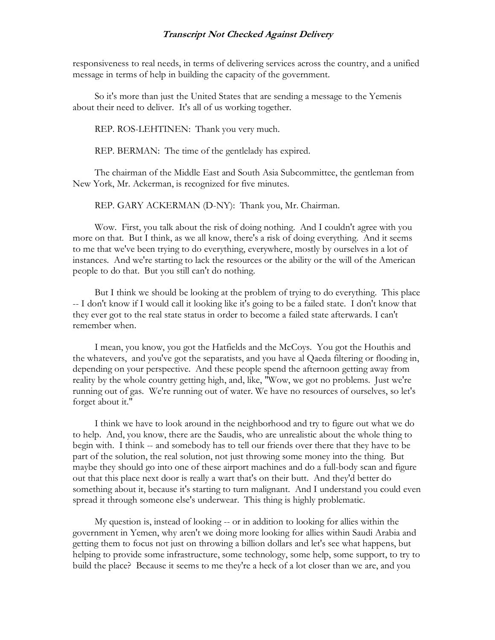responsiveness to real needs, in terms of delivering services across the country, and a unified message in terms of help in building the capacity of the government.

 So it's more than just the United States that are sending a message to the Yemenis about their need to deliver. It's all of us working together.

REP. ROS-LEHTINEN: Thank you very much.

REP. BERMAN: The time of the gentlelady has expired.

 The chairman of the Middle East and South Asia Subcommittee, the gentleman from New York, Mr. Ackerman, is recognized for five minutes.

REP. GARY ACKERMAN (D-NY): Thank you, Mr. Chairman.

 Wow. First, you talk about the risk of doing nothing. And I couldn't agree with you more on that. But I think, as we all know, there's a risk of doing everything. And it seems to me that we've been trying to do everything, everywhere, mostly by ourselves in a lot of instances. And we're starting to lack the resources or the ability or the will of the American people to do that. But you still can't do nothing.

 But I think we should be looking at the problem of trying to do everything. This place -- I don't know if I would call it looking like it's going to be a failed state. I don't know that they ever got to the real state status in order to become a failed state afterwards. I can't remember when.

 I mean, you know, you got the Hatfields and the McCoys. You got the Houthis and the whatevers, and you've got the separatists, and you have al Qaeda filtering or flooding in, depending on your perspective. And these people spend the afternoon getting away from reality by the whole country getting high, and, like, "Wow, we got no problems. Just we're running out of gas. We're running out of water. We have no resources of ourselves, so let's forget about it."

 I think we have to look around in the neighborhood and try to figure out what we do to help. And, you know, there are the Saudis, who are unrealistic about the whole thing to begin with. I think -- and somebody has to tell our friends over there that they have to be part of the solution, the real solution, not just throwing some money into the thing. But maybe they should go into one of these airport machines and do a full-body scan and figure out that this place next door is really a wart that's on their butt. And they'd better do something about it, because it's starting to turn malignant. And I understand you could even spread it through someone else's underwear. This thing is highly problematic.

 My question is, instead of looking -- or in addition to looking for allies within the government in Yemen, why aren't we doing more looking for allies within Saudi Arabia and getting them to focus not just on throwing a billion dollars and let's see what happens, but helping to provide some infrastructure, some technology, some help, some support, to try to build the place? Because it seems to me they're a heck of a lot closer than we are, and you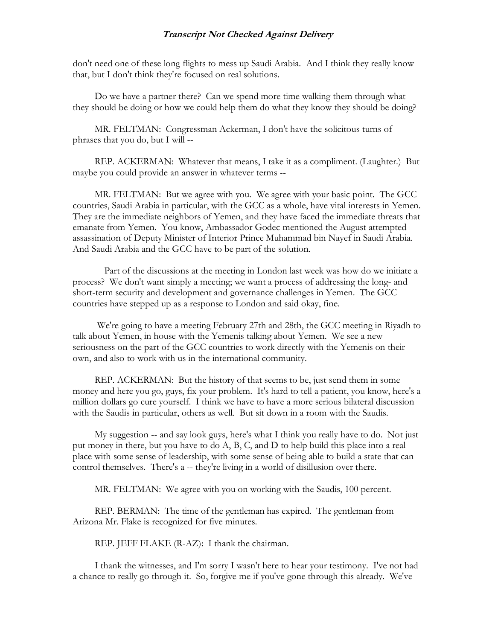don't need one of these long flights to mess up Saudi Arabia. And I think they really know that, but I don't think they're focused on real solutions.

 Do we have a partner there? Can we spend more time walking them through what they should be doing or how we could help them do what they know they should be doing?

 MR. FELTMAN: Congressman Ackerman, I don't have the solicitous turns of phrases that you do, but I will --

 REP. ACKERMAN: Whatever that means, I take it as a compliment. (Laughter.) But maybe you could provide an answer in whatever terms --

 MR. FELTMAN: But we agree with you. We agree with your basic point. The GCC countries, Saudi Arabia in particular, with the GCC as a whole, have vital interests in Yemen. They are the immediate neighbors of Yemen, and they have faced the immediate threats that emanate from Yemen. You know, Ambassador Godec mentioned the August attempted assassination of Deputy Minister of Interior Prince Muhammad bin Nayef in Saudi Arabia. And Saudi Arabia and the GCC have to be part of the solution.

 Part of the discussions at the meeting in London last week was how do we initiate a process? We don't want simply a meeting; we want a process of addressing the long- and short-term security and development and governance challenges in Yemen. The GCC countries have stepped up as a response to London and said okay, fine.

 We're going to have a meeting February 27th and 28th, the GCC meeting in Riyadh to talk about Yemen, in house with the Yemenis talking about Yemen. We see a new seriousness on the part of the GCC countries to work directly with the Yemenis on their own, and also to work with us in the international community.

 REP. ACKERMAN: But the history of that seems to be, just send them in some money and here you go, guys, fix your problem. It's hard to tell a patient, you know, here's a million dollars go cure yourself. I think we have to have a more serious bilateral discussion with the Saudis in particular, others as well. But sit down in a room with the Saudis.

 My suggestion -- and say look guys, here's what I think you really have to do. Not just put money in there, but you have to do A, B, C, and D to help build this place into a real place with some sense of leadership, with some sense of being able to build a state that can control themselves. There's a -- they're living in a world of disillusion over there.

MR. FELTMAN: We agree with you on working with the Saudis, 100 percent.

 REP. BERMAN: The time of the gentleman has expired. The gentleman from Arizona Mr. Flake is recognized for five minutes.

REP. JEFF FLAKE (R-AZ): I thank the chairman.

 I thank the witnesses, and I'm sorry I wasn't here to hear your testimony. I've not had a chance to really go through it. So, forgive me if you've gone through this already. We've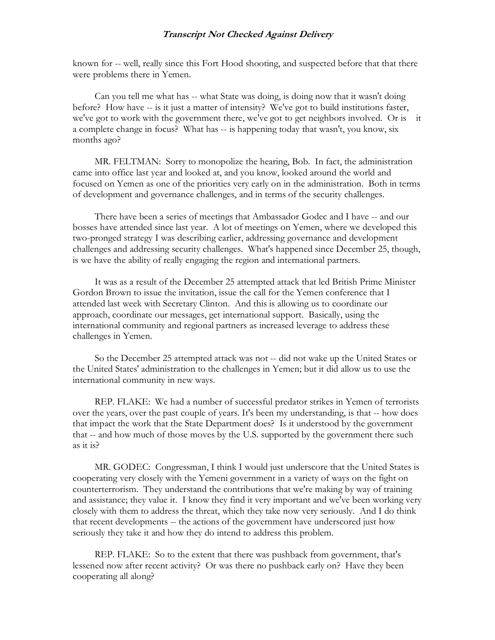known for -- well, really since this Fort Hood shooting, and suspected before that that there were problems there in Yemen.

 Can you tell me what has -- what State was doing, is doing now that it wasn't doing before? How have -- is it just a matter of intensity? We've got to build institutions faster, we've got to work with the government there, we've got to get neighbors involved. Or is it a complete change in focus? What has -- is happening today that wasn't, you know, six months ago?

 MR. FELTMAN: Sorry to monopolize the hearing, Bob. In fact, the administration came into office last year and looked at, and you know, looked around the world and focused on Yemen as one of the priorities very early on in the administration. Both in terms of development and governance challenges, and in terms of the security challenges.

 There have been a series of meetings that Ambassador Godec and I have -- and our bosses have attended since last year. A lot of meetings on Yemen, where we developed this two-pronged strategy I was describing earlier, addressing governance and development challenges and addressing security challenges. What's happened since December 25, though, is we have the ability of really engaging the region and international partners.

 It was as a result of the December 25 attempted attack that led British Prime Minister Gordon Brown to issue the invitation, issue the call for the Yemen conference that I attended last week with Secretary Clinton. And this is allowing us to coordinate our approach, coordinate our messages, get international support. Basically, using the international community and regional partners as increased leverage to address these challenges in Yemen.

 So the December 25 attempted attack was not -- did not wake up the United States or the United States' administration to the challenges in Yemen; but it did allow us to use the international community in new ways.

 REP. FLAKE: We had a number of successful predator strikes in Yemen of terrorists over the years, over the past couple of years. It's been my understanding, is that -- how does that impact the work that the State Department does? Is it understood by the government that -- and how much of those moves by the U.S. supported by the government there such as it is?

 MR. GODEC: Congressman, I think I would just underscore that the United States is cooperating very closely with the Yemeni government in a variety of ways on the fight on counterterrorism. They understand the contributions that we're making by way of training and assistance; they value it. I know they find it very important and we've been working very closely with them to address the threat, which they take now very seriously. And I do think that recent developments -- the actions of the government have underscored just how seriously they take it and how they do intend to address this problem.

 REP. FLAKE: So to the extent that there was pushback from government, that's lessened now after recent activity? Or was there no pushback early on? Have they been cooperating all along?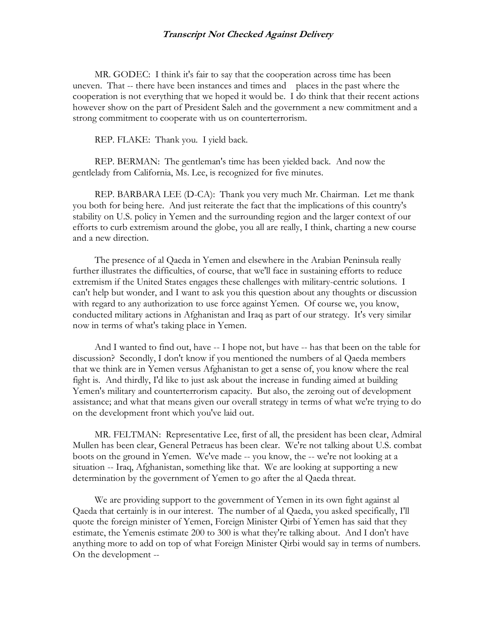MR. GODEC: I think it's fair to say that the cooperation across time has been uneven. That -- there have been instances and times and places in the past where the cooperation is not everything that we hoped it would be. I do think that their recent actions however show on the part of President Saleh and the government a new commitment and a strong commitment to cooperate with us on counterterrorism.

REP. FLAKE: Thank you. I yield back.

 REP. BERMAN: The gentleman's time has been yielded back. And now the gentlelady from California, Ms. Lee, is recognized for five minutes.

 REP. BARBARA LEE (D-CA): Thank you very much Mr. Chairman. Let me thank you both for being here. And just reiterate the fact that the implications of this country's stability on U.S. policy in Yemen and the surrounding region and the larger context of our efforts to curb extremism around the globe, you all are really, I think, charting a new course and a new direction.

 The presence of al Qaeda in Yemen and elsewhere in the Arabian Peninsula really further illustrates the difficulties, of course, that we'll face in sustaining efforts to reduce extremism if the United States engages these challenges with military-centric solutions. I can't help but wonder, and I want to ask you this question about any thoughts or discussion with regard to any authorization to use force against Yemen. Of course we, you know, conducted military actions in Afghanistan and Iraq as part of our strategy. It's very similar now in terms of what's taking place in Yemen.

 And I wanted to find out, have -- I hope not, but have -- has that been on the table for discussion? Secondly, I don't know if you mentioned the numbers of al Qaeda members that we think are in Yemen versus Afghanistan to get a sense of, you know where the real fight is. And thirdly, I'd like to just ask about the increase in funding aimed at building Yemen's military and counterterrorism capacity. But also, the zeroing out of development assistance; and what that means given our overall strategy in terms of what we're trying to do on the development front which you've laid out.

 MR. FELTMAN: Representative Lee, first of all, the president has been clear, Admiral Mullen has been clear, General Petraeus has been clear. We're not talking about U.S. combat boots on the ground in Yemen. We've made -- you know, the -- we're not looking at a situation -- Iraq, Afghanistan, something like that. We are looking at supporting a new determination by the government of Yemen to go after the al Qaeda threat.

 We are providing support to the government of Yemen in its own fight against al Qaeda that certainly is in our interest. The number of al Qaeda, you asked specifically, I'll quote the foreign minister of Yemen, Foreign Minister Qirbi of Yemen has said that they estimate, the Yemenis estimate 200 to 300 is what they're talking about. And I don't have anything more to add on top of what Foreign Minister Qirbi would say in terms of numbers. On the development --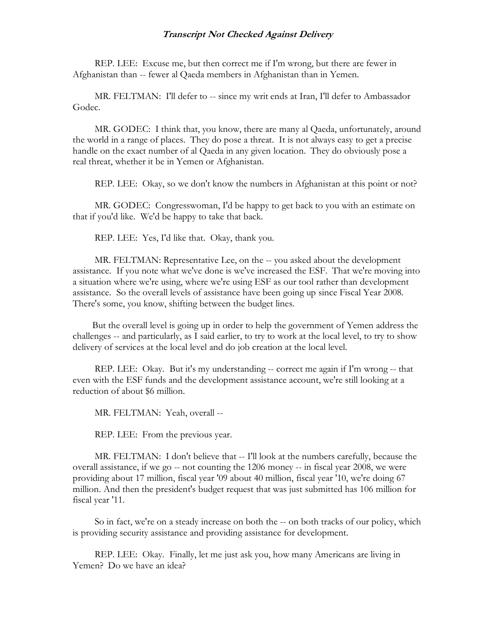REP. LEE: Excuse me, but then correct me if I'm wrong, but there are fewer in Afghanistan than -- fewer al Qaeda members in Afghanistan than in Yemen.

 MR. FELTMAN: I'll defer to -- since my writ ends at Iran, I'll defer to Ambassador Godec.

 MR. GODEC: I think that, you know, there are many al Qaeda, unfortunately, around the world in a range of places. They do pose a threat. It is not always easy to get a precise handle on the exact number of al Qaeda in any given location. They do obviously pose a real threat, whether it be in Yemen or Afghanistan.

REP. LEE: Okay, so we don't know the numbers in Afghanistan at this point or not?

 MR. GODEC: Congresswoman, I'd be happy to get back to you with an estimate on that if you'd like. We'd be happy to take that back.

REP. LEE: Yes, I'd like that. Okay, thank you.

 MR. FELTMAN: Representative Lee, on the -- you asked about the development assistance. If you note what we've done is we've increased the ESF. That we're moving into a situation where we're using, where we're using ESF as our tool rather than development assistance. So the overall levels of assistance have been going up since Fiscal Year 2008. There's some, you know, shifting between the budget lines.

 But the overall level is going up in order to help the government of Yemen address the challenges -- and particularly, as I said earlier, to try to work at the local level, to try to show delivery of services at the local level and do job creation at the local level.

 REP. LEE: Okay. But it's my understanding -- correct me again if I'm wrong -- that even with the ESF funds and the development assistance account, we're still looking at a reduction of about \$6 million.

MR. FELTMAN: Yeah, overall --

REP. LEE: From the previous year.

 MR. FELTMAN: I don't believe that -- I'll look at the numbers carefully, because the overall assistance, if we go -- not counting the 1206 money -- in fiscal year 2008, we were providing about 17 million, fiscal year '09 about 40 million, fiscal year '10, we're doing 67 million. And then the president's budget request that was just submitted has 106 million for fiscal year '11.

 So in fact, we're on a steady increase on both the -- on both tracks of our policy, which is providing security assistance and providing assistance for development.

 REP. LEE: Okay. Finally, let me just ask you, how many Americans are living in Yemen? Do we have an idea?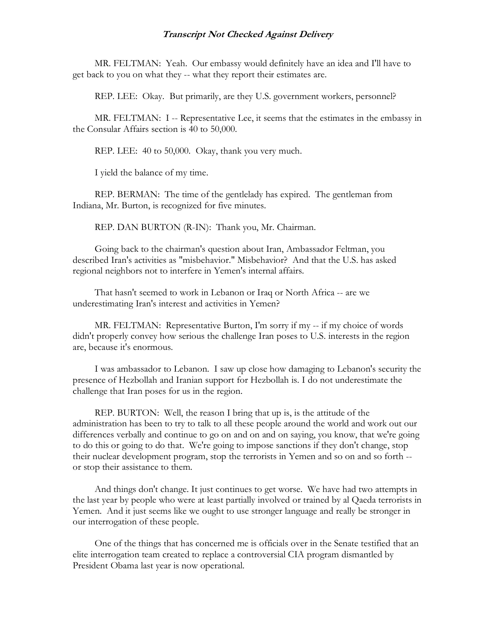MR. FELTMAN: Yeah. Our embassy would definitely have an idea and I'll have to get back to you on what they -- what they report their estimates are.

REP. LEE: Okay. But primarily, are they U.S. government workers, personnel?

 MR. FELTMAN: I -- Representative Lee, it seems that the estimates in the embassy in the Consular Affairs section is 40 to 50,000.

REP. LEE: 40 to 50,000. Okay, thank you very much.

I yield the balance of my time.

 REP. BERMAN: The time of the gentlelady has expired. The gentleman from Indiana, Mr. Burton, is recognized for five minutes.

REP. DAN BURTON (R-IN): Thank you, Mr. Chairman.

 Going back to the chairman's question about Iran, Ambassador Feltman, you described Iran's activities as "misbehavior." Misbehavior? And that the U.S. has asked regional neighbors not to interfere in Yemen's internal affairs.

 That hasn't seemed to work in Lebanon or Iraq or North Africa -- are we underestimating Iran's interest and activities in Yemen?

 MR. FELTMAN: Representative Burton, I'm sorry if my -- if my choice of words didn't properly convey how serious the challenge Iran poses to U.S. interests in the region are, because it's enormous.

 I was ambassador to Lebanon. I saw up close how damaging to Lebanon's security the presence of Hezbollah and Iranian support for Hezbollah is. I do not underestimate the challenge that Iran poses for us in the region.

 REP. BURTON: Well, the reason I bring that up is, is the attitude of the administration has been to try to talk to all these people around the world and work out our differences verbally and continue to go on and on and on saying, you know, that we're going to do this or going to do that. We're going to impose sanctions if they don't change, stop their nuclear development program, stop the terrorists in Yemen and so on and so forth - or stop their assistance to them.

 And things don't change. It just continues to get worse. We have had two attempts in the last year by people who were at least partially involved or trained by al Qaeda terrorists in Yemen. And it just seems like we ought to use stronger language and really be stronger in our interrogation of these people.

 One of the things that has concerned me is officials over in the Senate testified that an elite interrogation team created to replace a controversial CIA program dismantled by President Obama last year is now operational.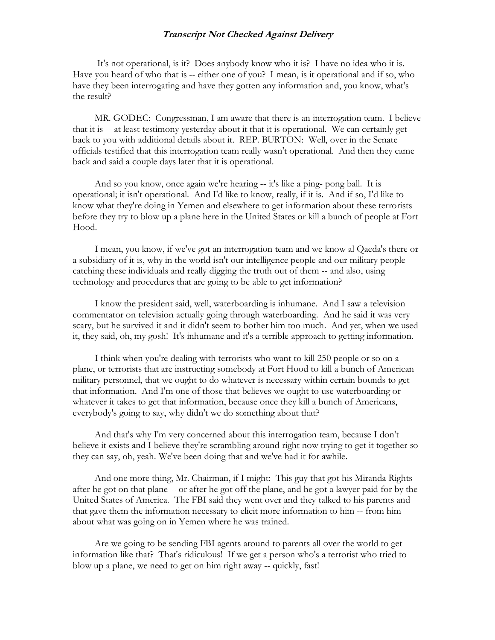It's not operational, is it? Does anybody know who it is? I have no idea who it is. Have you heard of who that is -- either one of you? I mean, is it operational and if so, who have they been interrogating and have they gotten any information and, you know, what's the result?

 MR. GODEC: Congressman, I am aware that there is an interrogation team. I believe that it is -- at least testimony yesterday about it that it is operational. We can certainly get back to you with additional details about it. REP. BURTON: Well, over in the Senate officials testified that this interrogation team really wasn't operational. And then they came back and said a couple days later that it is operational.

 And so you know, once again we're hearing -- it's like a ping- pong ball. It is operational; it isn't operational. And I'd like to know, really, if it is. And if so, I'd like to know what they're doing in Yemen and elsewhere to get information about these terrorists before they try to blow up a plane here in the United States or kill a bunch of people at Fort Hood.

 I mean, you know, if we've got an interrogation team and we know al Qaeda's there or a subsidiary of it is, why in the world isn't our intelligence people and our military people catching these individuals and really digging the truth out of them -- and also, using technology and procedures that are going to be able to get information?

 I know the president said, well, waterboarding is inhumane. And I saw a television commentator on television actually going through waterboarding. And he said it was very scary, but he survived it and it didn't seem to bother him too much. And yet, when we used it, they said, oh, my gosh! It's inhumane and it's a terrible approach to getting information.

 I think when you're dealing with terrorists who want to kill 250 people or so on a plane, or terrorists that are instructing somebody at Fort Hood to kill a bunch of American military personnel, that we ought to do whatever is necessary within certain bounds to get that information. And I'm one of those that believes we ought to use waterboarding or whatever it takes to get that information, because once they kill a bunch of Americans, everybody's going to say, why didn't we do something about that?

 And that's why I'm very concerned about this interrogation team, because I don't believe it exists and I believe they're scrambling around right now trying to get it together so they can say, oh, yeah. We've been doing that and we've had it for awhile.

 And one more thing, Mr. Chairman, if I might: This guy that got his Miranda Rights after he got on that plane -- or after he got off the plane, and he got a lawyer paid for by the United States of America. The FBI said they went over and they talked to his parents and that gave them the information necessary to elicit more information to him -- from him about what was going on in Yemen where he was trained.

 Are we going to be sending FBI agents around to parents all over the world to get information like that? That's ridiculous! If we get a person who's a terrorist who tried to blow up a plane, we need to get on him right away -- quickly, fast!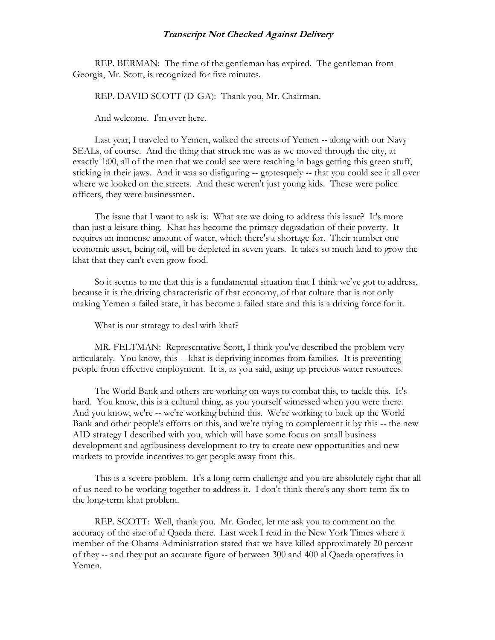REP. BERMAN: The time of the gentleman has expired. The gentleman from Georgia, Mr. Scott, is recognized for five minutes.

REP. DAVID SCOTT (D-GA): Thank you, Mr. Chairman.

And welcome. I'm over here.

 Last year, I traveled to Yemen, walked the streets of Yemen -- along with our Navy SEALs, of course. And the thing that struck me was as we moved through the city, at exactly 1:00, all of the men that we could see were reaching in bags getting this green stuff, sticking in their jaws. And it was so disfiguring -- grotesquely -- that you could see it all over where we looked on the streets. And these weren't just young kids. These were police officers, they were businessmen.

 The issue that I want to ask is: What are we doing to address this issue? It's more than just a leisure thing. Khat has become the primary degradation of their poverty. It requires an immense amount of water, which there's a shortage for. Their number one economic asset, being oil, will be depleted in seven years. It takes so much land to grow the khat that they can't even grow food.

 So it seems to me that this is a fundamental situation that I think we've got to address, because it is the driving characteristic of that economy, of that culture that is not only making Yemen a failed state, it has become a failed state and this is a driving force for it.

What is our strategy to deal with khat?

 MR. FELTMAN: Representative Scott, I think you've described the problem very articulately. You know, this -- khat is depriving incomes from families. It is preventing people from effective employment. It is, as you said, using up precious water resources.

 The World Bank and others are working on ways to combat this, to tackle this. It's hard. You know, this is a cultural thing, as you yourself witnessed when you were there. And you know, we're -- we're working behind this. We're working to back up the World Bank and other people's efforts on this, and we're trying to complement it by this -- the new AID strategy I described with you, which will have some focus on small business development and agribusiness development to try to create new opportunities and new markets to provide incentives to get people away from this.

 This is a severe problem. It's a long-term challenge and you are absolutely right that all of us need to be working together to address it. I don't think there's any short-term fix to the long-term khat problem.

 REP. SCOTT: Well, thank you. Mr. Godec, let me ask you to comment on the accuracy of the size of al Qaeda there. Last week I read in the New York Times where a member of the Obama Administration stated that we have killed approximately 20 percent of they -- and they put an accurate figure of between 300 and 400 al Qaeda operatives in Yemen.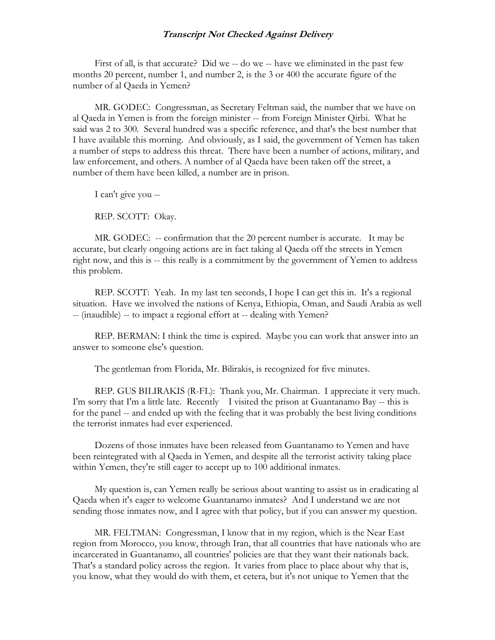First of all, is that accurate? Did we -- do we -- have we eliminated in the past few months 20 percent, number 1, and number 2, is the 3 or 400 the accurate figure of the number of al Qaeda in Yemen?

 MR. GODEC: Congressman, as Secretary Feltman said, the number that we have on al Qaeda in Yemen is from the foreign minister -- from Foreign Minister Qirbi. What he said was 2 to 300. Several hundred was a specific reference, and that's the best number that I have available this morning. And obviously, as I said, the government of Yemen has taken a number of steps to address this threat. There have been a number of actions, military, and law enforcement, and others. A number of al Qaeda have been taken off the street, a number of them have been killed, a number are in prison.

I can't give you --

REP. SCOTT: Okay.

 MR. GODEC: -- confirmation that the 20 percent number is accurate. It may be accurate, but clearly ongoing actions are in fact taking al Qaeda off the streets in Yemen right now, and this is -- this really is a commitment by the government of Yemen to address this problem.

 REP. SCOTT: Yeah. In my last ten seconds, I hope I can get this in. It's a regional situation. Have we involved the nations of Kenya, Ethiopia, Oman, and Saudi Arabia as well -- (inaudible) -- to impact a regional effort at -- dealing with Yemen?

 REP. BERMAN: I think the time is expired. Maybe you can work that answer into an answer to someone else's question.

The gentleman from Florida, Mr. Bilirakis, is recognized for five minutes.

 REP. GUS BILIRAKIS (R-FL): Thank you, Mr. Chairman. I appreciate it very much. I'm sorry that I'm a little late. Recently I visited the prison at Guantanamo Bay -- this is for the panel -- and ended up with the feeling that it was probably the best living conditions the terrorist inmates had ever experienced.

 Dozens of those inmates have been released from Guantanamo to Yemen and have been reintegrated with al Qaeda in Yemen, and despite all the terrorist activity taking place within Yemen, they're still eager to accept up to 100 additional inmates.

 My question is, can Yemen really be serious about wanting to assist us in eradicating al Qaeda when it's eager to welcome Guantanamo inmates? And I understand we are not sending those inmates now, and I agree with that policy, but if you can answer my question.

 MR. FELTMAN: Congressman, I know that in my region, which is the Near East region from Morocco, you know, through Iran, that all countries that have nationals who are incarcerated in Guantanamo, all countries' policies are that they want their nationals back. That's a standard policy across the region. It varies from place to place about why that is, you know, what they would do with them, et cetera, but it's not unique to Yemen that the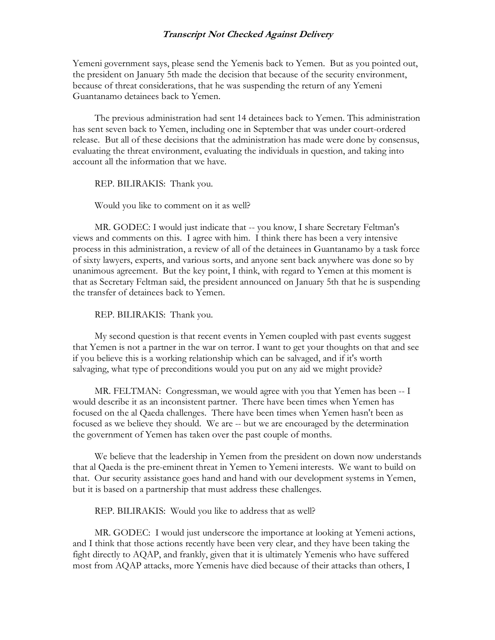Yemeni government says, please send the Yemenis back to Yemen. But as you pointed out, the president on January 5th made the decision that because of the security environment, because of threat considerations, that he was suspending the return of any Yemeni Guantanamo detainees back to Yemen.

 The previous administration had sent 14 detainees back to Yemen. This administration has sent seven back to Yemen, including one in September that was under court-ordered release. But all of these decisions that the administration has made were done by consensus, evaluating the threat environment, evaluating the individuals in question, and taking into account all the information that we have.

REP. BILIRAKIS: Thank you.

#### Would you like to comment on it as well?

 MR. GODEC: I would just indicate that -- you know, I share Secretary Feltman's views and comments on this. I agree with him. I think there has been a very intensive process in this administration, a review of all of the detainees in Guantanamo by a task force of sixty lawyers, experts, and various sorts, and anyone sent back anywhere was done so by unanimous agreement. But the key point, I think, with regard to Yemen at this moment is that as Secretary Feltman said, the president announced on January 5th that he is suspending the transfer of detainees back to Yemen.

REP. BILIRAKIS: Thank you.

 My second question is that recent events in Yemen coupled with past events suggest that Yemen is not a partner in the war on terror. I want to get your thoughts on that and see if you believe this is a working relationship which can be salvaged, and if it's worth salvaging, what type of preconditions would you put on any aid we might provide?

 MR. FELTMAN: Congressman, we would agree with you that Yemen has been -- I would describe it as an inconsistent partner. There have been times when Yemen has focused on the al Qaeda challenges. There have been times when Yemen hasn't been as focused as we believe they should. We are -- but we are encouraged by the determination the government of Yemen has taken over the past couple of months.

 We believe that the leadership in Yemen from the president on down now understands that al Qaeda is the pre-eminent threat in Yemen to Yemeni interests. We want to build on that. Our security assistance goes hand and hand with our development systems in Yemen, but it is based on a partnership that must address these challenges.

REP. BILIRAKIS: Would you like to address that as well?

 MR. GODEC: I would just underscore the importance at looking at Yemeni actions, and I think that those actions recently have been very clear, and they have been taking the fight directly to AQAP, and frankly, given that it is ultimately Yemenis who have suffered most from AQAP attacks, more Yemenis have died because of their attacks than others, I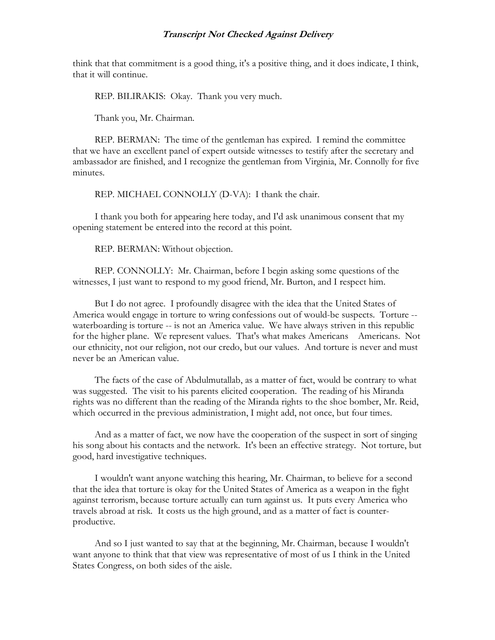think that that commitment is a good thing, it's a positive thing, and it does indicate, I think, that it will continue.

REP. BILIRAKIS: Okay. Thank you very much.

Thank you, Mr. Chairman.

 REP. BERMAN: The time of the gentleman has expired. I remind the committee that we have an excellent panel of expert outside witnesses to testify after the secretary and ambassador are finished, and I recognize the gentleman from Virginia, Mr. Connolly for five minutes.

REP. MICHAEL CONNOLLY (D-VA): I thank the chair.

 I thank you both for appearing here today, and I'd ask unanimous consent that my opening statement be entered into the record at this point.

REP. BERMAN: Without objection.

 REP. CONNOLLY: Mr. Chairman, before I begin asking some questions of the witnesses, I just want to respond to my good friend, Mr. Burton, and I respect him.

 But I do not agree. I profoundly disagree with the idea that the United States of America would engage in torture to wring confessions out of would-be suspects. Torture - waterboarding is torture -- is not an America value. We have always striven in this republic for the higher plane. We represent values. That's what makes Americans Americans. Not our ethnicity, not our religion, not our credo, but our values. And torture is never and must never be an American value.

 The facts of the case of Abdulmutallab, as a matter of fact, would be contrary to what was suggested. The visit to his parents elicited cooperation. The reading of his Miranda rights was no different than the reading of the Miranda rights to the shoe bomber, Mr. Reid, which occurred in the previous administration, I might add, not once, but four times.

 And as a matter of fact, we now have the cooperation of the suspect in sort of singing his song about his contacts and the network. It's been an effective strategy. Not torture, but good, hard investigative techniques.

 I wouldn't want anyone watching this hearing, Mr. Chairman, to believe for a second that the idea that torture is okay for the United States of America as a weapon in the fight against terrorism, because torture actually can turn against us. It puts every America who travels abroad at risk. It costs us the high ground, and as a matter of fact is counterproductive.

 And so I just wanted to say that at the beginning, Mr. Chairman, because I wouldn't want anyone to think that that view was representative of most of us I think in the United States Congress, on both sides of the aisle.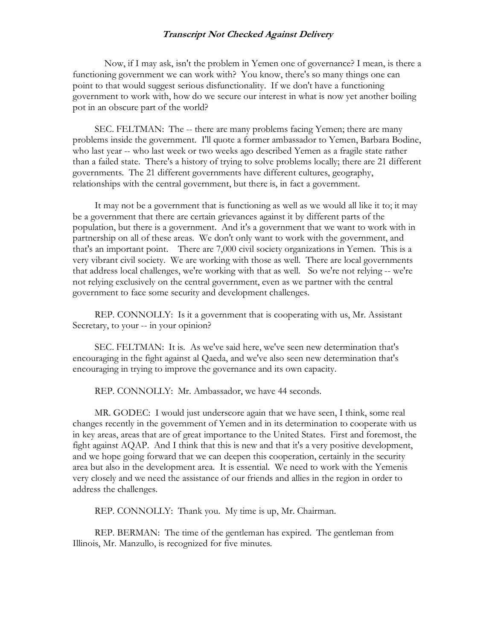Now, if I may ask, isn't the problem in Yemen one of governance? I mean, is there a functioning government we can work with? You know, there's so many things one can point to that would suggest serious disfunctionality. If we don't have a functioning government to work with, how do we secure our interest in what is now yet another boiling pot in an obscure part of the world?

SEC. FELTMAN: The -- there are many problems facing Yemen; there are many problems inside the government. I'll quote a former ambassador to Yemen, Barbara Bodine, who last year -- who last week or two weeks ago described Yemen as a fragile state rather than a failed state. There's a history of trying to solve problems locally; there are 21 different governments. The 21 different governments have different cultures, geography, relationships with the central government, but there is, in fact a government.

 It may not be a government that is functioning as well as we would all like it to; it may be a government that there are certain grievances against it by different parts of the population, but there is a government. And it's a government that we want to work with in partnership on all of these areas. We don't only want to work with the government, and that's an important point. There are 7,000 civil society organizations in Yemen. This is a very vibrant civil society. We are working with those as well. There are local governments that address local challenges, we're working with that as well. So we're not relying -- we're not relying exclusively on the central government, even as we partner with the central government to face some security and development challenges.

 REP. CONNOLLY: Is it a government that is cooperating with us, Mr. Assistant Secretary, to your -- in your opinion?

 SEC. FELTMAN: It is. As we've said here, we've seen new determination that's encouraging in the fight against al Qaeda, and we've also seen new determination that's encouraging in trying to improve the governance and its own capacity.

REP. CONNOLLY: Mr. Ambassador, we have 44 seconds.

 MR. GODEC: I would just underscore again that we have seen, I think, some real changes recently in the government of Yemen and in its determination to cooperate with us in key areas, areas that are of great importance to the United States. First and foremost, the fight against AQAP. And I think that this is new and that it's a very positive development, and we hope going forward that we can deepen this cooperation, certainly in the security area but also in the development area. It is essential. We need to work with the Yemenis very closely and we need the assistance of our friends and allies in the region in order to address the challenges.

REP. CONNOLLY: Thank you. My time is up, Mr. Chairman.

 REP. BERMAN: The time of the gentleman has expired. The gentleman from Illinois, Mr. Manzullo, is recognized for five minutes.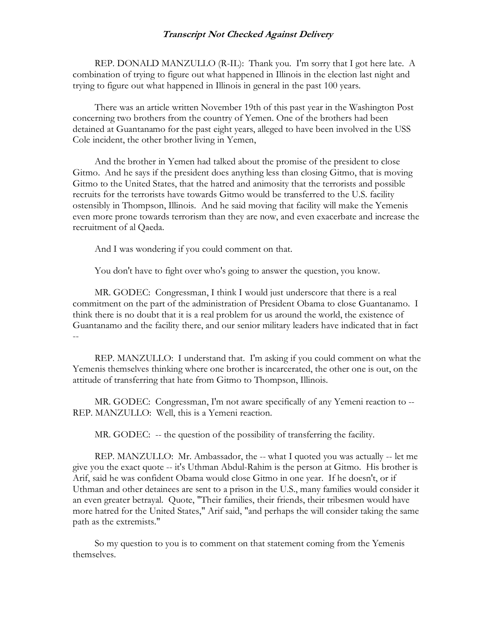REP. DONALD MANZULLO (R-IL): Thank you. I'm sorry that I got here late. A combination of trying to figure out what happened in Illinois in the election last night and trying to figure out what happened in Illinois in general in the past 100 years.

 There was an article written November 19th of this past year in the Washington Post concerning two brothers from the country of Yemen. One of the brothers had been detained at Guantanamo for the past eight years, alleged to have been involved in the USS Cole incident, the other brother living in Yemen,

 And the brother in Yemen had talked about the promise of the president to close Gitmo. And he says if the president does anything less than closing Gitmo, that is moving Gitmo to the United States, that the hatred and animosity that the terrorists and possible recruits for the terrorists have towards Gitmo would be transferred to the U.S. facility ostensibly in Thompson, Illinois. And he said moving that facility will make the Yemenis even more prone towards terrorism than they are now, and even exacerbate and increase the recruitment of al Qaeda.

And I was wondering if you could comment on that.

You don't have to fight over who's going to answer the question, you know.

 MR. GODEC: Congressman, I think I would just underscore that there is a real commitment on the part of the administration of President Obama to close Guantanamo. I think there is no doubt that it is a real problem for us around the world, the existence of Guantanamo and the facility there, and our senior military leaders have indicated that in fact --

 REP. MANZULLO: I understand that. I'm asking if you could comment on what the Yemenis themselves thinking where one brother is incarcerated, the other one is out, on the attitude of transferring that hate from Gitmo to Thompson, Illinois.

 MR. GODEC: Congressman, I'm not aware specifically of any Yemeni reaction to -- REP. MANZULLO: Well, this is a Yemeni reaction.

MR. GODEC: -- the question of the possibility of transferring the facility.

 REP. MANZULLO: Mr. Ambassador, the -- what I quoted you was actually -- let me give you the exact quote -- it's Uthman Abdul-Rahim is the person at Gitmo. His brother is Arif, said he was confident Obama would close Gitmo in one year. If he doesn't, or if Uthman and other detainees are sent to a prison in the U.S., many families would consider it an even greater betrayal. Quote, "Their families, their friends, their tribesmen would have more hatred for the United States," Arif said, "and perhaps the will consider taking the same path as the extremists."

 So my question to you is to comment on that statement coming from the Yemenis themselves.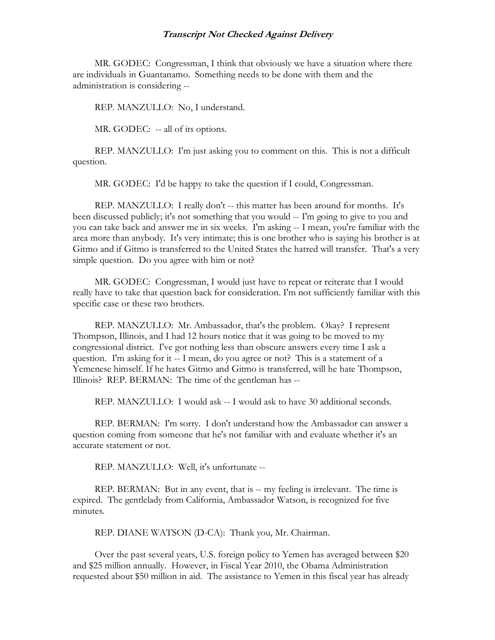MR. GODEC: Congressman, I think that obviously we have a situation where there are individuals in Guantanamo. Something needs to be done with them and the administration is considering --

REP. MANZULLO: No, I understand.

MR. GODEC: -- all of its options.

 REP. MANZULLO: I'm just asking you to comment on this. This is not a difficult question.

MR. GODEC: I'd be happy to take the question if I could, Congressman.

 REP. MANZULLO: I really don't -- this matter has been around for months. It's been discussed publicly; it's not something that you would -- I'm going to give to you and you can take back and answer me in six weeks. I'm asking -- I mean, you're familiar with the area more than anybody. It's very intimate; this is one brother who is saying his brother is at Gitmo and if Gitmo is transferred to the United States the hatred will transfer. That's a very simple question. Do you agree with him or not?

 MR. GODEC: Congressman, I would just have to repeat or reiterate that I would really have to take that question back for consideration. I'm not sufficiently familiar with this specific case or these two brothers.

 REP. MANZULLO: Mr. Ambassador, that's the problem. Okay? I represent Thompson, Illinois, and I had 12 hours notice that it was going to be moved to my congressional district. I've got nothing less than obscure answers every time I ask a question. I'm asking for it -- I mean, do you agree or not? This is a statement of a Yemenese himself. If he hates Gitmo and Gitmo is transferred, will he hate Thompson, Illinois? REP. BERMAN: The time of the gentleman has --

REP. MANZULLO: I would ask -- I would ask to have 30 additional seconds.

 REP. BERMAN: I'm sorry. I don't understand how the Ambassador can answer a question coming from someone that he's not familiar with and evaluate whether it's an accurate statement or not.

REP. MANZULLO: Well, it's unfortunate --

 REP. BERMAN: But in any event, that is -- my feeling is irrelevant. The time is expired. The gentlelady from California, Ambassador Watson, is recognized for five minutes.

REP. DIANE WATSON (D-CA): Thank you, Mr. Chairman.

 Over the past several years, U.S. foreign policy to Yemen has averaged between \$20 and \$25 million annually. However, in Fiscal Year 2010, the Obama Administration requested about \$50 million in aid. The assistance to Yemen in this fiscal year has already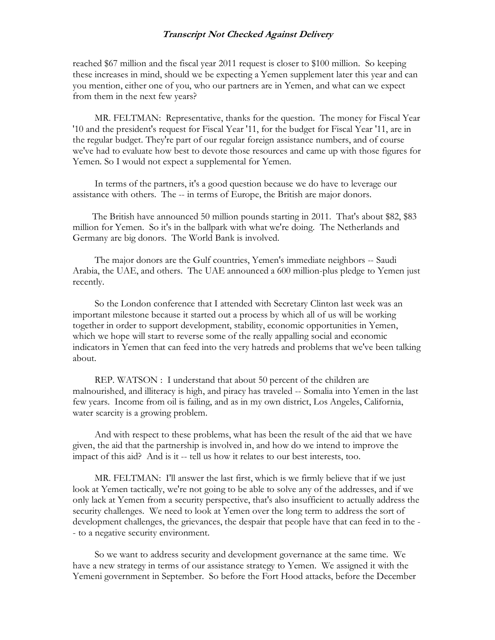reached \$67 million and the fiscal year 2011 request is closer to \$100 million. So keeping these increases in mind, should we be expecting a Yemen supplement later this year and can you mention, either one of you, who our partners are in Yemen, and what can we expect from them in the next few years?

 MR. FELTMAN: Representative, thanks for the question. The money for Fiscal Year '10 and the president's request for Fiscal Year '11, for the budget for Fiscal Year '11, are in the regular budget. They're part of our regular foreign assistance numbers, and of course we've had to evaluate how best to devote those resources and came up with those figures for Yemen. So I would not expect a supplemental for Yemen.

 In terms of the partners, it's a good question because we do have to leverage our assistance with others. The -- in terms of Europe, the British are major donors.

 The British have announced 50 million pounds starting in 2011. That's about \$82, \$83 million for Yemen. So it's in the ballpark with what we're doing. The Netherlands and Germany are big donors. The World Bank is involved.

 The major donors are the Gulf countries, Yemen's immediate neighbors -- Saudi Arabia, the UAE, and others. The UAE announced a 600 million-plus pledge to Yemen just recently.

 So the London conference that I attended with Secretary Clinton last week was an important milestone because it started out a process by which all of us will be working together in order to support development, stability, economic opportunities in Yemen, which we hope will start to reverse some of the really appalling social and economic indicators in Yemen that can feed into the very hatreds and problems that we've been talking about.

 REP. WATSON : I understand that about 50 percent of the children are malnourished, and illiteracy is high, and piracy has traveled -- Somalia into Yemen in the last few years. Income from oil is failing, and as in my own district, Los Angeles, California, water scarcity is a growing problem.

 And with respect to these problems, what has been the result of the aid that we have given, the aid that the partnership is involved in, and how do we intend to improve the impact of this aid? And is it -- tell us how it relates to our best interests, too.

 MR. FELTMAN: I'll answer the last first, which is we firmly believe that if we just look at Yemen tactically, we're not going to be able to solve any of the addresses, and if we only lack at Yemen from a security perspective, that's also insufficient to actually address the security challenges. We need to look at Yemen over the long term to address the sort of development challenges, the grievances, the despair that people have that can feed in to the - - to a negative security environment.

 So we want to address security and development governance at the same time. We have a new strategy in terms of our assistance strategy to Yemen. We assigned it with the Yemeni government in September. So before the Fort Hood attacks, before the December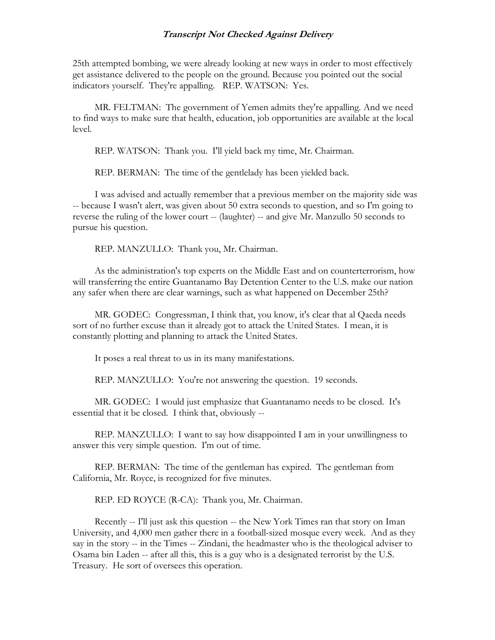25th attempted bombing, we were already looking at new ways in order to most effectively get assistance delivered to the people on the ground. Because you pointed out the social indicators yourself. They're appalling. REP. WATSON: Yes.

 MR. FELTMAN: The government of Yemen admits they're appalling. And we need to find ways to make sure that health, education, job opportunities are available at the local level.

REP. WATSON: Thank you. I'll yield back my time, Mr. Chairman.

REP. BERMAN: The time of the gentlelady has been yielded back.

 I was advised and actually remember that a previous member on the majority side was -- because I wasn't alert, was given about 50 extra seconds to question, and so I'm going to reverse the ruling of the lower court -- (laughter) -- and give Mr. Manzullo 50 seconds to pursue his question.

REP. MANZULLO: Thank you, Mr. Chairman.

 As the administration's top experts on the Middle East and on counterterrorism, how will transferring the entire Guantanamo Bay Detention Center to the U.S. make our nation any safer when there are clear warnings, such as what happened on December 25th?

 MR. GODEC: Congressman, I think that, you know, it's clear that al Qaeda needs sort of no further excuse than it already got to attack the United States. I mean, it is constantly plotting and planning to attack the United States.

It poses a real threat to us in its many manifestations.

REP. MANZULLO: You're not answering the question. 19 seconds.

 MR. GODEC: I would just emphasize that Guantanamo needs to be closed. It's essential that it be closed. I think that, obviously --

 REP. MANZULLO: I want to say how disappointed I am in your unwillingness to answer this very simple question. I'm out of time.

 REP. BERMAN: The time of the gentleman has expired. The gentleman from California, Mr. Royce, is recognized for five minutes.

REP. ED ROYCE (R-CA): Thank you, Mr. Chairman.

 Recently -- I'll just ask this question -- the New York Times ran that story on Iman University, and 4,000 men gather there in a football-sized mosque every week. And as they say in the story -- in the Times -- Zindani, the headmaster who is the theological adviser to Osama bin Laden -- after all this, this is a guy who is a designated terrorist by the U.S. Treasury. He sort of oversees this operation.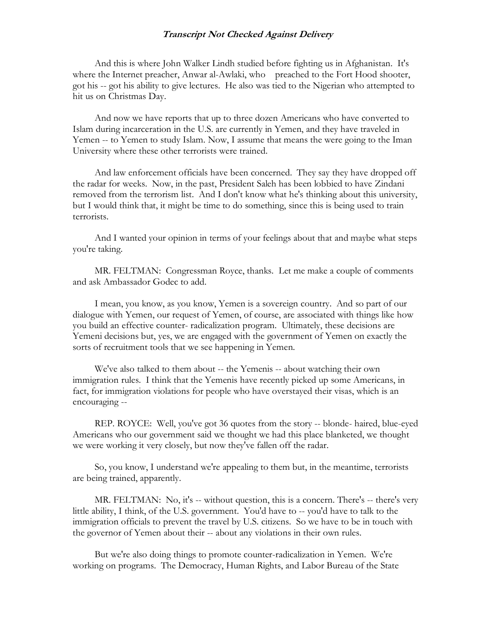And this is where John Walker Lindh studied before fighting us in Afghanistan. It's where the Internet preacher, Anwar al-Awlaki, who preached to the Fort Hood shooter, got his -- got his ability to give lectures. He also was tied to the Nigerian who attempted to hit us on Christmas Day.

 And now we have reports that up to three dozen Americans who have converted to Islam during incarceration in the U.S. are currently in Yemen, and they have traveled in Yemen -- to Yemen to study Islam. Now, I assume that means the were going to the Iman University where these other terrorists were trained.

 And law enforcement officials have been concerned. They say they have dropped off the radar for weeks. Now, in the past, President Saleh has been lobbied to have Zindani removed from the terrorism list. And I don't know what he's thinking about this university, but I would think that, it might be time to do something, since this is being used to train terrorists.

 And I wanted your opinion in terms of your feelings about that and maybe what steps you're taking.

 MR. FELTMAN: Congressman Royce, thanks. Let me make a couple of comments and ask Ambassador Godec to add.

 I mean, you know, as you know, Yemen is a sovereign country. And so part of our dialogue with Yemen, our request of Yemen, of course, are associated with things like how you build an effective counter- radicalization program. Ultimately, these decisions are Yemeni decisions but, yes, we are engaged with the government of Yemen on exactly the sorts of recruitment tools that we see happening in Yemen.

 We've also talked to them about -- the Yemenis -- about watching their own immigration rules. I think that the Yemenis have recently picked up some Americans, in fact, for immigration violations for people who have overstayed their visas, which is an encouraging --

 REP. ROYCE: Well, you've got 36 quotes from the story -- blonde- haired, blue-eyed Americans who our government said we thought we had this place blanketed, we thought we were working it very closely, but now they've fallen off the radar.

 So, you know, I understand we're appealing to them but, in the meantime, terrorists are being trained, apparently.

MR. FELTMAN: No, it's -- without question, this is a concern. There's -- there's very little ability, I think, of the U.S. government. You'd have to -- you'd have to talk to the immigration officials to prevent the travel by U.S. citizens. So we have to be in touch with the governor of Yemen about their -- about any violations in their own rules.

 But we're also doing things to promote counter-radicalization in Yemen. We're working on programs. The Democracy, Human Rights, and Labor Bureau of the State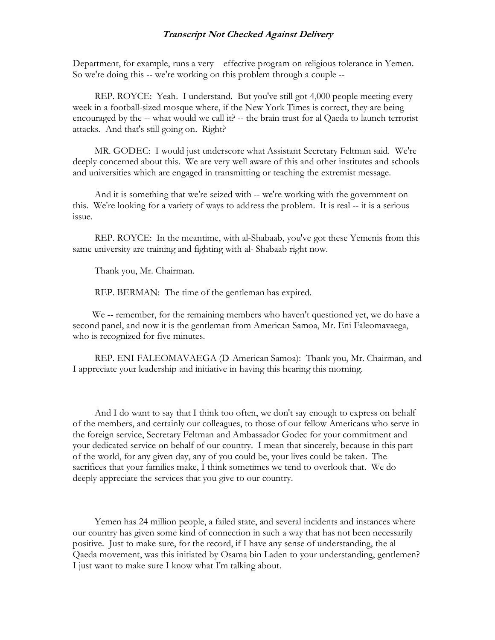Department, for example, runs a very effective program on religious tolerance in Yemen. So we're doing this -- we're working on this problem through a couple --

 REP. ROYCE: Yeah. I understand. But you've still got 4,000 people meeting every week in a football-sized mosque where, if the New York Times is correct, they are being encouraged by the -- what would we call it? -- the brain trust for al Qaeda to launch terrorist attacks. And that's still going on. Right?

 MR. GODEC: I would just underscore what Assistant Secretary Feltman said. We're deeply concerned about this. We are very well aware of this and other institutes and schools and universities which are engaged in transmitting or teaching the extremist message.

 And it is something that we're seized with -- we're working with the government on this. We're looking for a variety of ways to address the problem. It is real -- it is a serious issue.

 REP. ROYCE: In the meantime, with al-Shabaab, you've got these Yemenis from this same university are training and fighting with al- Shabaab right now.

Thank you, Mr. Chairman.

REP. BERMAN: The time of the gentleman has expired.

We -- remember, for the remaining members who haven't questioned yet, we do have a second panel, and now it is the gentleman from American Samoa, Mr. Eni Faleomavaega, who is recognized for five minutes.

 REP. ENI FALEOMAVAEGA (D-American Samoa): Thank you, Mr. Chairman, and I appreciate your leadership and initiative in having this hearing this morning.

 And I do want to say that I think too often, we don't say enough to express on behalf of the members, and certainly our colleagues, to those of our fellow Americans who serve in the foreign service, Secretary Feltman and Ambassador Godec for your commitment and your dedicated service on behalf of our country. I mean that sincerely, because in this part of the world, for any given day, any of you could be, your lives could be taken. The sacrifices that your families make, I think sometimes we tend to overlook that. We do deeply appreciate the services that you give to our country.

 Yemen has 24 million people, a failed state, and several incidents and instances where our country has given some kind of connection in such a way that has not been necessarily positive. Just to make sure, for the record, if I have any sense of understanding, the al Qaeda movement, was this initiated by Osama bin Laden to your understanding, gentlemen? I just want to make sure I know what I'm talking about.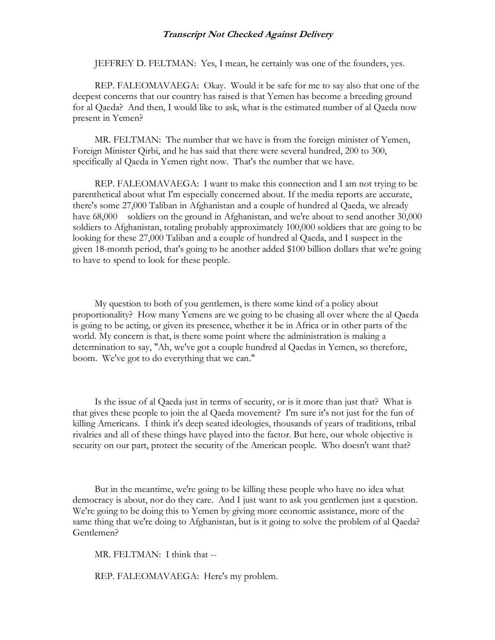JEFFREY D. FELTMAN: Yes, I mean, he certainly was one of the founders, yes.

 REP. FALEOMAVAEGA: Okay. Would it be safe for me to say also that one of the deepest concerns that our country has raised is that Yemen has become a breeding ground for al Qaeda? And then, I would like to ask, what is the estimated number of al Qaeda now present in Yemen?

 MR. FELTMAN: The number that we have is from the foreign minister of Yemen, Foreign Minister Qirbi, and he has said that there were several hundred, 200 to 300, specifically al Qaeda in Yemen right now. That's the number that we have.

 REP. FALEOMAVAEGA: I want to make this connection and I am not trying to be parenthetical about what I'm especially concerned about. If the media reports are accurate, there's some 27,000 Taliban in Afghanistan and a couple of hundred al Qaeda, we already have 68,000 soldiers on the ground in Afghanistan, and we're about to send another 30,000 soldiers to Afghanistan, totaling probably approximately 100,000 soldiers that are going to be looking for these 27,000 Taliban and a couple of hundred al Qaeda, and I suspect in the given 18-month period, that's going to be another added \$100 billion dollars that we're going to have to spend to look for these people.

 My question to both of you gentlemen, is there some kind of a policy about proportionality? How many Yemens are we going to be chasing all over where the al Qaeda is going to be acting, or given its presence, whether it be in Africa or in other parts of the world. My concern is that, is there some point where the administration is making a determination to say, "Ah, we've got a couple hundred al Qaedas in Yemen, so therefore, boom. We've got to do everything that we can."

 Is the issue of al Qaeda just in terms of security, or is it more than just that? What is that gives these people to join the al Qaeda movement? I'm sure it's not just for the fun of killing Americans. I think it's deep seated ideologies, thousands of years of traditions, tribal rivalries and all of these things have played into the factor. But here, our whole objective is security on our part, protect the security of the American people. Who doesn't want that?

 But in the meantime, we're going to be killing these people who have no idea what democracy is about, nor do they care. And I just want to ask you gentlemen just a question. We're going to be doing this to Yemen by giving more economic assistance, more of the same thing that we're doing to Afghanistan, but is it going to solve the problem of al Qaeda? Gentlemen?

MR. FELTMAN: I think that --

REP. FALEOMAVAEGA: Here's my problem.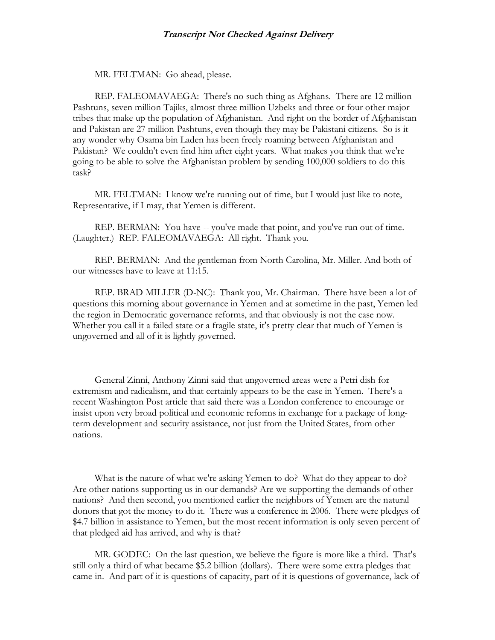MR. FELTMAN: Go ahead, please.

 REP. FALEOMAVAEGA: There's no such thing as Afghans. There are 12 million Pashtuns, seven million Tajiks, almost three million Uzbeks and three or four other major tribes that make up the population of Afghanistan. And right on the border of Afghanistan and Pakistan are 27 million Pashtuns, even though they may be Pakistani citizens. So is it any wonder why Osama bin Laden has been freely roaming between Afghanistan and Pakistan? We couldn't even find him after eight years. What makes you think that we're going to be able to solve the Afghanistan problem by sending 100,000 soldiers to do this task?

 MR. FELTMAN: I know we're running out of time, but I would just like to note, Representative, if I may, that Yemen is different.

 REP. BERMAN: You have -- you've made that point, and you've run out of time. (Laughter.) REP. FALEOMAVAEGA: All right. Thank you.

 REP. BERMAN: And the gentleman from North Carolina, Mr. Miller. And both of our witnesses have to leave at 11:15.

 REP. BRAD MILLER (D-NC): Thank you, Mr. Chairman. There have been a lot of questions this morning about governance in Yemen and at sometime in the past, Yemen led the region in Democratic governance reforms, and that obviously is not the case now. Whether you call it a failed state or a fragile state, it's pretty clear that much of Yemen is ungoverned and all of it is lightly governed.

 General Zinni, Anthony Zinni said that ungoverned areas were a Petri dish for extremism and radicalism, and that certainly appears to be the case in Yemen. There's a recent Washington Post article that said there was a London conference to encourage or insist upon very broad political and economic reforms in exchange for a package of longterm development and security assistance, not just from the United States, from other nations.

What is the nature of what we're asking Yemen to do? What do they appear to do? Are other nations supporting us in our demands? Are we supporting the demands of other nations? And then second, you mentioned earlier the neighbors of Yemen are the natural donors that got the money to do it. There was a conference in 2006. There were pledges of \$4.7 billion in assistance to Yemen, but the most recent information is only seven percent of that pledged aid has arrived, and why is that?

 MR. GODEC: On the last question, we believe the figure is more like a third. That's still only a third of what became \$5.2 billion (dollars). There were some extra pledges that came in. And part of it is questions of capacity, part of it is questions of governance, lack of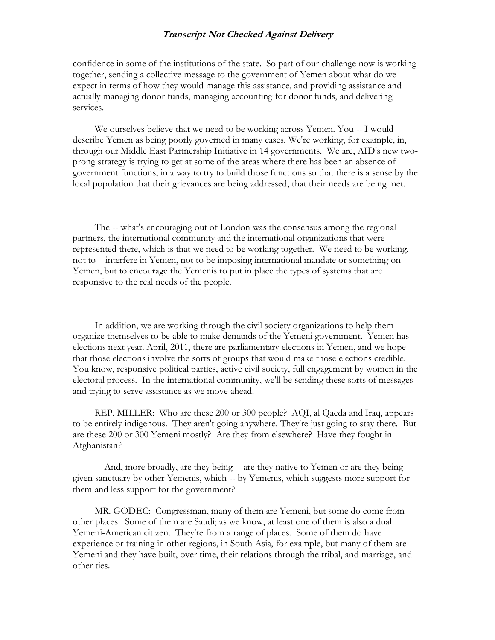confidence in some of the institutions of the state. So part of our challenge now is working together, sending a collective message to the government of Yemen about what do we expect in terms of how they would manage this assistance, and providing assistance and actually managing donor funds, managing accounting for donor funds, and delivering services.

We ourselves believe that we need to be working across Yemen. You -- I would describe Yemen as being poorly governed in many cases. We're working, for example, in, through our Middle East Partnership Initiative in 14 governments. We are, AID's new twoprong strategy is trying to get at some of the areas where there has been an absence of government functions, in a way to try to build those functions so that there is a sense by the local population that their grievances are being addressed, that their needs are being met.

 The -- what's encouraging out of London was the consensus among the regional partners, the international community and the international organizations that were represented there, which is that we need to be working together. We need to be working, not to interfere in Yemen, not to be imposing international mandate or something on Yemen, but to encourage the Yemenis to put in place the types of systems that are responsive to the real needs of the people.

 In addition, we are working through the civil society organizations to help them organize themselves to be able to make demands of the Yemeni government. Yemen has elections next year. April, 2011, there are parliamentary elections in Yemen, and we hope that those elections involve the sorts of groups that would make those elections credible. You know, responsive political parties, active civil society, full engagement by women in the electoral process. In the international community, we'll be sending these sorts of messages and trying to serve assistance as we move ahead.

 REP. MILLER: Who are these 200 or 300 people? AQI, al Qaeda and Iraq, appears to be entirely indigenous. They aren't going anywhere. They're just going to stay there. But are these 200 or 300 Yemeni mostly? Are they from elsewhere? Have they fought in Afghanistan?

 And, more broadly, are they being -- are they native to Yemen or are they being given sanctuary by other Yemenis, which -- by Yemenis, which suggests more support for them and less support for the government?

 MR. GODEC: Congressman, many of them are Yemeni, but some do come from other places. Some of them are Saudi; as we know, at least one of them is also a dual Yemeni-American citizen. They're from a range of places. Some of them do have experience or training in other regions, in South Asia, for example, but many of them are Yemeni and they have built, over time, their relations through the tribal, and marriage, and other ties.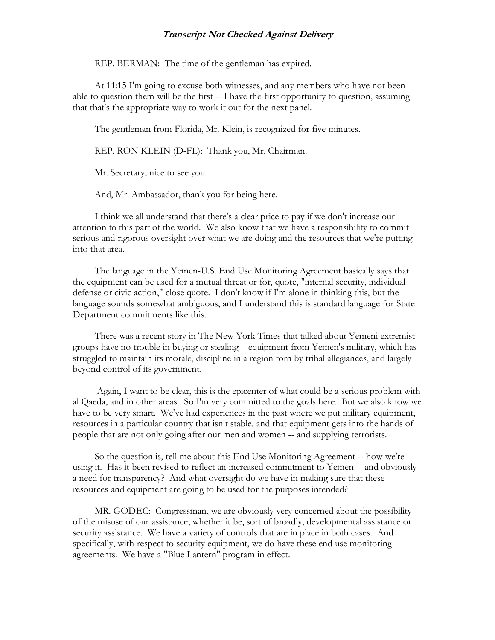REP. BERMAN: The time of the gentleman has expired.

 At 11:15 I'm going to excuse both witnesses, and any members who have not been able to question them will be the first -- I have the first opportunity to question, assuming that that's the appropriate way to work it out for the next panel.

The gentleman from Florida, Mr. Klein, is recognized for five minutes.

REP. RON KLEIN (D-FL): Thank you, Mr. Chairman.

Mr. Secretary, nice to see you.

And, Mr. Ambassador, thank you for being here.

 I think we all understand that there's a clear price to pay if we don't increase our attention to this part of the world. We also know that we have a responsibility to commit serious and rigorous oversight over what we are doing and the resources that we're putting into that area.

 The language in the Yemen-U.S. End Use Monitoring Agreement basically says that the equipment can be used for a mutual threat or for, quote, "internal security, individual defense or civic action," close quote. I don't know if I'm alone in thinking this, but the language sounds somewhat ambiguous, and I understand this is standard language for State Department commitments like this.

 There was a recent story in The New York Times that talked about Yemeni extremist groups have no trouble in buying or stealing equipment from Yemen's military, which has struggled to maintain its morale, discipline in a region torn by tribal allegiances, and largely beyond control of its government.

 Again, I want to be clear, this is the epicenter of what could be a serious problem with al Qaeda, and in other areas. So I'm very committed to the goals here. But we also know we have to be very smart. We've had experiences in the past where we put military equipment, resources in a particular country that isn't stable, and that equipment gets into the hands of people that are not only going after our men and women -- and supplying terrorists.

 So the question is, tell me about this End Use Monitoring Agreement -- how we're using it. Has it been revised to reflect an increased commitment to Yemen -- and obviously a need for transparency? And what oversight do we have in making sure that these resources and equipment are going to be used for the purposes intended?

 MR. GODEC: Congressman, we are obviously very concerned about the possibility of the misuse of our assistance, whether it be, sort of broadly, developmental assistance or security assistance. We have a variety of controls that are in place in both cases. And specifically, with respect to security equipment, we do have these end use monitoring agreements. We have a "Blue Lantern" program in effect.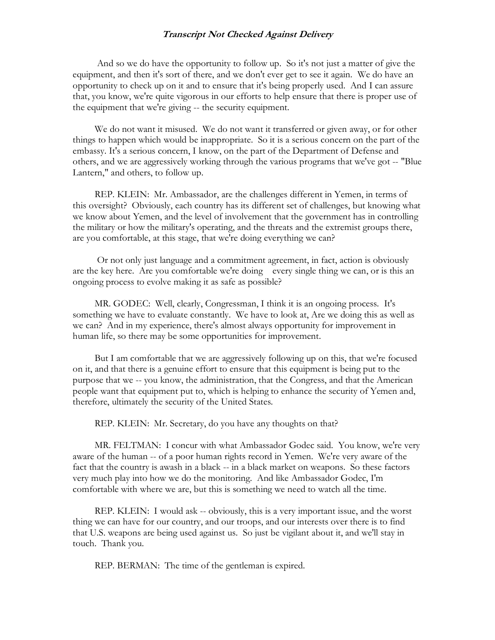And so we do have the opportunity to follow up. So it's not just a matter of give the equipment, and then it's sort of there, and we don't ever get to see it again. We do have an opportunity to check up on it and to ensure that it's being properly used. And I can assure that, you know, we're quite vigorous in our efforts to help ensure that there is proper use of the equipment that we're giving -- the security equipment.

 We do not want it misused. We do not want it transferred or given away, or for other things to happen which would be inappropriate. So it is a serious concern on the part of the embassy. It's a serious concern, I know, on the part of the Department of Defense and others, and we are aggressively working through the various programs that we've got -- "Blue Lantern," and others, to follow up.

 REP. KLEIN: Mr. Ambassador, are the challenges different in Yemen, in terms of this oversight? Obviously, each country has its different set of challenges, but knowing what we know about Yemen, and the level of involvement that the government has in controlling the military or how the military's operating, and the threats and the extremist groups there, are you comfortable, at this stage, that we're doing everything we can?

 Or not only just language and a commitment agreement, in fact, action is obviously are the key here. Are you comfortable we're doing every single thing we can, or is this an ongoing process to evolve making it as safe as possible?

 MR. GODEC: Well, clearly, Congressman, I think it is an ongoing process. It's something we have to evaluate constantly. We have to look at, Are we doing this as well as we can? And in my experience, there's almost always opportunity for improvement in human life, so there may be some opportunities for improvement.

 But I am comfortable that we are aggressively following up on this, that we're focused on it, and that there is a genuine effort to ensure that this equipment is being put to the purpose that we -- you know, the administration, that the Congress, and that the American people want that equipment put to, which is helping to enhance the security of Yemen and, therefore, ultimately the security of the United States.

REP. KLEIN: Mr. Secretary, do you have any thoughts on that?

MR. FELTMAN: I concur with what Ambassador Godec said. You know, we're very aware of the human -- of a poor human rights record in Yemen. We're very aware of the fact that the country is awash in a black -- in a black market on weapons. So these factors very much play into how we do the monitoring. And like Ambassador Godec, I'm comfortable with where we are, but this is something we need to watch all the time.

 REP. KLEIN: I would ask -- obviously, this is a very important issue, and the worst thing we can have for our country, and our troops, and our interests over there is to find that U.S. weapons are being used against us. So just be vigilant about it, and we'll stay in touch. Thank you.

REP. BERMAN: The time of the gentleman is expired.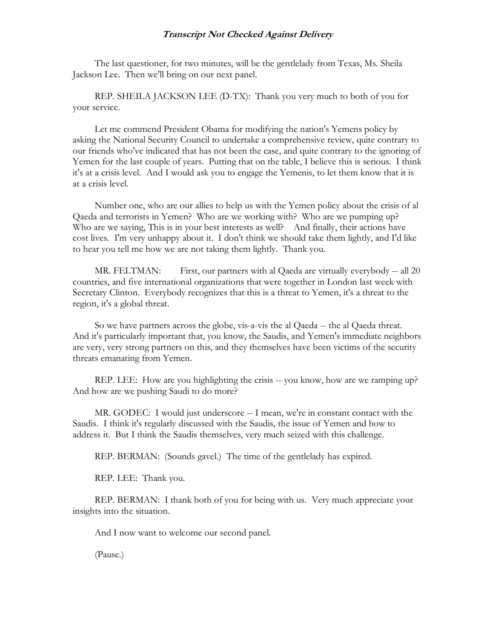The last questioner, for two minutes, will be the gentlelady from Texas, Ms. Sheila Jackson Lee. Then we'll bring on our next panel.

 REP. SHEILA JACKSON LEE (D-TX): Thank you very much to both of you for your service.

 Let me commend President Obama for modifying the nation's Yemens policy by asking the National Security Council to undertake a comprehensive review, quite contrary to our friends who've indicated that has not been the case, and quite contrary to the ignoring of Yemen for the last couple of years. Putting that on the table, I believe this is serious. I think it's at a crisis level. And I would ask you to engage the Yemenis, to let them know that it is at a crisis level.

 Number one, who are our allies to help us with the Yemen policy about the crisis of al Qaeda and terrorists in Yemen? Who are we working with? Who are we pumping up? Who are we saying, This is in your best interests as well? And finally, their actions have cost lives. I'm very unhappy about it. I don't think we should take them lightly, and I'd like to hear you tell me how we are not taking them lightly. Thank you.

MR. FELTMAN: First, our partners with al Qaeda are virtually everybody -- all 20 countries, and five international organizations that were together in London last week with Secretary Clinton. Everybody recognizes that this is a threat to Yemen, it's a threat to the region, it's a global threat.

 So we have partners across the globe, vis-a-vis the al Qaeda -- the al Qaeda threat. And it's particularly important that, you know, the Saudis, and Yemen's immediate neighbors are very, very strong partners on this, and they themselves have been victims of the security threats emanating from Yemen.

REP. LEE: How are you highlighting the crisis -- you know, how are we ramping up? And how are we pushing Saudi to do more?

 MR. GODEC: I would just underscore -- I mean, we're in constant contact with the Saudis. I think it's regularly discussed with the Saudis, the issue of Yemen and how to address it. But I think the Saudis themselves, very much seized with this challenge.

REP. BERMAN: (Sounds gavel.) The time of the gentlelady has expired.

REP. LEE: Thank you.

 REP. BERMAN: I thank both of you for being with us. Very much appreciate your insights into the situation.

And I now want to welcome our second panel.

(Pause.)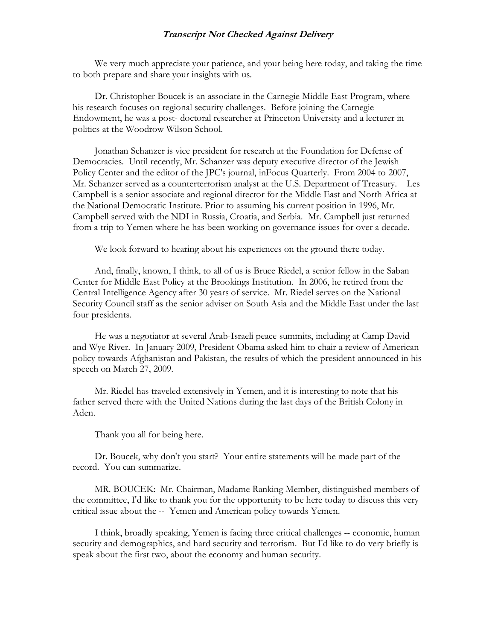We very much appreciate your patience, and your being here today, and taking the time to both prepare and share your insights with us.

 Dr. Christopher Boucek is an associate in the Carnegie Middle East Program, where his research focuses on regional security challenges. Before joining the Carnegie Endowment, he was a post- doctoral researcher at Princeton University and a lecturer in politics at the Woodrow Wilson School.

 Jonathan Schanzer is vice president for research at the Foundation for Defense of Democracies. Until recently, Mr. Schanzer was deputy executive director of the Jewish Policy Center and the editor of the JPC's journal, inFocus Quarterly. From 2004 to 2007, Mr. Schanzer served as a counterterrorism analyst at the U.S. Department of Treasury. Les Campbell is a senior associate and regional director for the Middle East and North Africa at the National Democratic Institute. Prior to assuming his current position in 1996, Mr. Campbell served with the NDI in Russia, Croatia, and Serbia. Mr. Campbell just returned from a trip to Yemen where he has been working on governance issues for over a decade.

We look forward to hearing about his experiences on the ground there today.

 And, finally, known, I think, to all of us is Bruce Riedel, a senior fellow in the Saban Center for Middle East Policy at the Brookings Institution. In 2006, he retired from the Central Intelligence Agency after 30 years of service. Mr. Riedel serves on the National Security Council staff as the senior adviser on South Asia and the Middle East under the last four presidents.

 He was a negotiator at several Arab-Israeli peace summits, including at Camp David and Wye River. In January 2009, President Obama asked him to chair a review of American policy towards Afghanistan and Pakistan, the results of which the president announced in his speech on March 27, 2009.

 Mr. Riedel has traveled extensively in Yemen, and it is interesting to note that his father served there with the United Nations during the last days of the British Colony in Aden.

Thank you all for being here.

 Dr. Boucek, why don't you start? Your entire statements will be made part of the record. You can summarize.

 MR. BOUCEK: Mr. Chairman, Madame Ranking Member, distinguished members of the committee, I'd like to thank you for the opportunity to be here today to discuss this very critical issue about the -- Yemen and American policy towards Yemen.

 I think, broadly speaking, Yemen is facing three critical challenges -- economic, human security and demographics, and hard security and terrorism. But I'd like to do very briefly is speak about the first two, about the economy and human security.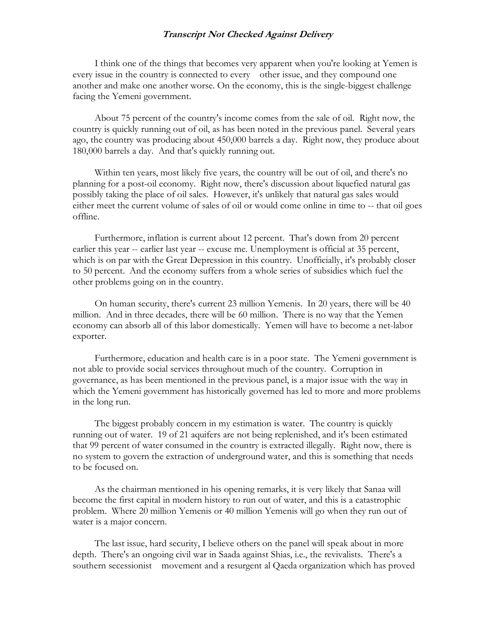I think one of the things that becomes very apparent when you're looking at Yemen is every issue in the country is connected to every other issue, and they compound one another and make one another worse. On the economy, this is the single-biggest challenge facing the Yemeni government.

 About 75 percent of the country's income comes from the sale of oil. Right now, the country is quickly running out of oil, as has been noted in the previous panel. Several years ago, the country was producing about 450,000 barrels a day. Right now, they produce about 180,000 barrels a day. And that's quickly running out.

 Within ten years, most likely five years, the country will be out of oil, and there's no planning for a post-oil economy. Right now, there's discussion about liquefied natural gas possibly taking the place of oil sales. However, it's unlikely that natural gas sales would either meet the current volume of sales of oil or would come online in time to -- that oil goes offline.

 Furthermore, inflation is current about 12 percent. That's down from 20 percent earlier this year -- earlier last year -- excuse me. Unemployment is official at 35 percent, which is on par with the Great Depression in this country. Unofficially, it's probably closer to 50 percent. And the economy suffers from a whole series of subsidies which fuel the other problems going on in the country.

 On human security, there's current 23 million Yemenis. In 20 years, there will be 40 million. And in three decades, there will be 60 million. There is no way that the Yemen economy can absorb all of this labor domestically. Yemen will have to become a net-labor exporter.

 Furthermore, education and health care is in a poor state. The Yemeni government is not able to provide social services throughout much of the country. Corruption in governance, as has been mentioned in the previous panel, is a major issue with the way in which the Yemeni government has historically governed has led to more and more problems in the long run.

 The biggest probably concern in my estimation is water. The country is quickly running out of water. 19 of 21 aquifers are not being replenished, and it's been estimated that 99 percent of water consumed in the country is extracted illegally. Right now, there is no system to govern the extraction of underground water, and this is something that needs to be focused on.

 As the chairman mentioned in his opening remarks, it is very likely that Sanaa will become the first capital in modern history to run out of water, and this is a catastrophic problem. Where 20 million Yemenis or 40 million Yemenis will go when they run out of water is a major concern.

 The last issue, hard security, I believe others on the panel will speak about in more depth. There's an ongoing civil war in Saada against Shias, i.e., the revivalists. There's a southern secessionist movement and a resurgent al Qaeda organization which has proved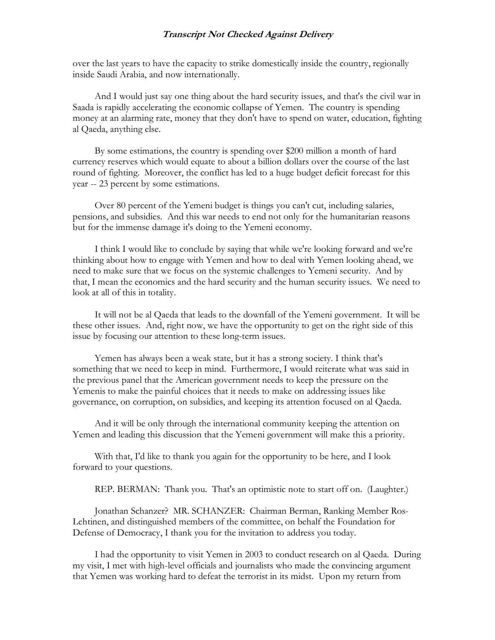over the last years to have the capacity to strike domestically inside the country, regionally inside Saudi Arabia, and now internationally.

 And I would just say one thing about the hard security issues, and that's the civil war in Saada is rapidly accelerating the economic collapse of Yemen. The country is spending money at an alarming rate, money that they don't have to spend on water, education, fighting al Qaeda, anything else.

 By some estimations, the country is spending over \$200 million a month of hard currency reserves which would equate to about a billion dollars over the course of the last round of fighting. Moreover, the conflict has led to a huge budget deficit forecast for this year -- 23 percent by some estimations.

 Over 80 percent of the Yemeni budget is things you can't cut, including salaries, pensions, and subsidies. And this war needs to end not only for the humanitarian reasons but for the immense damage it's doing to the Yemeni economy.

 I think I would like to conclude by saying that while we're looking forward and we're thinking about how to engage with Yemen and how to deal with Yemen looking ahead, we need to make sure that we focus on the systemic challenges to Yemeni security. And by that, I mean the economics and the hard security and the human security issues. We need to look at all of this in totality.

 It will not be al Qaeda that leads to the downfall of the Yemeni government. It will be these other issues. And, right now, we have the opportunity to get on the right side of this issue by focusing our attention to these long-term issues.

 Yemen has always been a weak state, but it has a strong society. I think that's something that we need to keep in mind. Furthermore, I would reiterate what was said in the previous panel that the American government needs to keep the pressure on the Yemenis to make the painful choices that it needs to make on addressing issues like governance, on corruption, on subsidies, and keeping its attention focused on al Qaeda.

 And it will be only through the international community keeping the attention on Yemen and leading this discussion that the Yemeni government will make this a priority.

 With that, I'd like to thank you again for the opportunity to be here, and I look forward to your questions.

REP. BERMAN: Thank you. That's an optimistic note to start off on. (Laughter.)

 Jonathan Schanzer? MR. SCHANZER: Chairman Berman, Ranking Member Ros-Lehtinen, and distinguished members of the committee, on behalf the Foundation for Defense of Democracy, I thank you for the invitation to address you today.

 I had the opportunity to visit Yemen in 2003 to conduct research on al Qaeda. During my visit, I met with high-level officials and journalists who made the convincing argument that Yemen was working hard to defeat the terrorist in its midst. Upon my return from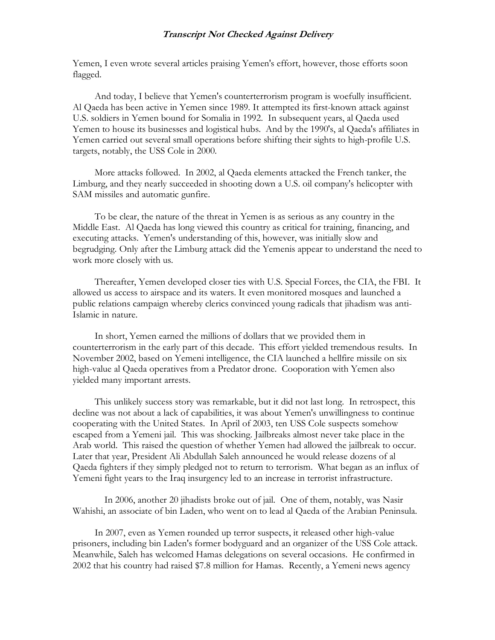Yemen, I even wrote several articles praising Yemen's effort, however, those efforts soon flagged.

 And today, I believe that Yemen's counterterrorism program is woefully insufficient. Al Qaeda has been active in Yemen since 1989. It attempted its first-known attack against U.S. soldiers in Yemen bound for Somalia in 1992. In subsequent years, al Qaeda used Yemen to house its businesses and logistical hubs. And by the 1990's, al Qaeda's affiliates in Yemen carried out several small operations before shifting their sights to high-profile U.S. targets, notably, the USS Cole in 2000.

 More attacks followed. In 2002, al Qaeda elements attacked the French tanker, the Limburg, and they nearly succeeded in shooting down a U.S. oil company's helicopter with SAM missiles and automatic gunfire.

 To be clear, the nature of the threat in Yemen is as serious as any country in the Middle East. Al Qaeda has long viewed this country as critical for training, financing, and executing attacks. Yemen's understanding of this, however, was initially slow and begrudging. Only after the Limburg attack did the Yemenis appear to understand the need to work more closely with us.

 Thereafter, Yemen developed closer ties with U.S. Special Forces, the CIA, the FBI. It allowed us access to airspace and its waters. It even monitored mosques and launched a public relations campaign whereby clerics convinced young radicals that jihadism was anti-Islamic in nature.

 In short, Yemen earned the millions of dollars that we provided them in counterterrorism in the early part of this decade. This effort yielded tremendous results. In November 2002, based on Yemeni intelligence, the CIA launched a hellfire missile on six high-value al Qaeda operatives from a Predator drone. Cooporation with Yemen also yielded many important arrests.

 This unlikely success story was remarkable, but it did not last long. In retrospect, this decline was not about a lack of capabilities, it was about Yemen's unwillingness to continue cooperating with the United States. In April of 2003, ten USS Cole suspects somehow escaped from a Yemeni jail. This was shocking. Jailbreaks almost never take place in the Arab world. This raised the question of whether Yemen had allowed the jailbreak to occur. Later that year, President Ali Abdullah Saleh announced he would release dozens of al Qaeda fighters if they simply pledged not to return to terrorism. What began as an influx of Yemeni fight years to the Iraq insurgency led to an increase in terrorist infrastructure.

 In 2006, another 20 jihadists broke out of jail. One of them, notably, was Nasir Wahishi, an associate of bin Laden, who went on to lead al Qaeda of the Arabian Peninsula.

 In 2007, even as Yemen rounded up terror suspects, it released other high-value prisoners, including bin Laden's former bodyguard and an organizer of the USS Cole attack. Meanwhile, Saleh has welcomed Hamas delegations on several occasions. He confirmed in 2002 that his country had raised \$7.8 million for Hamas. Recently, a Yemeni news agency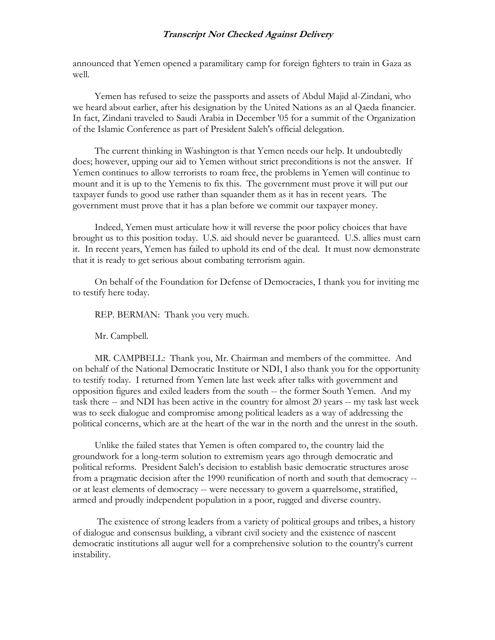announced that Yemen opened a paramilitary camp for foreign fighters to train in Gaza as well.

 Yemen has refused to seize the passports and assets of Abdul Majid al-Zindani, who we heard about earlier, after his designation by the United Nations as an al Qaeda financier. In fact, Zindani traveled to Saudi Arabia in December '05 for a summit of the Organization of the Islamic Conference as part of President Saleh's official delegation.

 The current thinking in Washington is that Yemen needs our help. It undoubtedly does; however, upping our aid to Yemen without strict preconditions is not the answer. If Yemen continues to allow terrorists to roam free, the problems in Yemen will continue to mount and it is up to the Yemenis to fix this. The government must prove it will put our taxpayer funds to good use rather than squander them as it has in recent years. The government must prove that it has a plan before we commit our taxpayer money.

 Indeed, Yemen must articulate how it will reverse the poor policy choices that have brought us to this position today. U.S. aid should never be guaranteed. U.S. allies must earn it. In recent years, Yemen has failed to uphold its end of the deal. It must now demonstrate that it is ready to get serious about combating terrorism again.

 On behalf of the Foundation for Defense of Democracies, I thank you for inviting me to testify here today.

REP. BERMAN: Thank you very much.

Mr. Campbell.

 MR. CAMPBELL: Thank you, Mr. Chairman and members of the committee. And on behalf of the National Democratic Institute or NDI, I also thank you for the opportunity to testify today. I returned from Yemen late last week after talks with government and opposition figures and exiled leaders from the south -- the former South Yemen. And my task there -- and NDI has been active in the country for almost 20 years -- my task last week was to seek dialogue and compromise among political leaders as a way of addressing the political concerns, which are at the heart of the war in the north and the unrest in the south.

 Unlike the failed states that Yemen is often compared to, the country laid the groundwork for a long-term solution to extremism years ago through democratic and political reforms. President Saleh's decision to establish basic democratic structures arose from a pragmatic decision after the 1990 reunification of north and south that democracy - or at least elements of democracy -- were necessary to govern a quarrelsome, stratified, armed and proudly independent population in a poor, rugged and diverse country.

 The existence of strong leaders from a variety of political groups and tribes, a history of dialogue and consensus building, a vibrant civil society and the existence of nascent democratic institutions all augur well for a comprehensive solution to the country's current instability.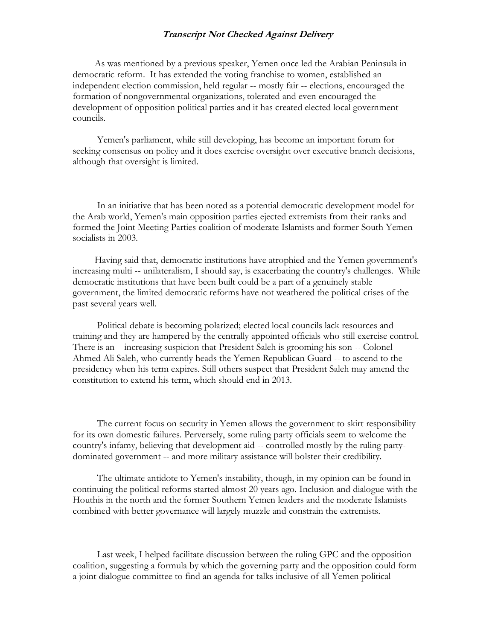As was mentioned by a previous speaker, Yemen once led the Arabian Peninsula in democratic reform. It has extended the voting franchise to women, established an independent election commission, held regular -- mostly fair -- elections, encouraged the formation of nongovernmental organizations, tolerated and even encouraged the development of opposition political parties and it has created elected local government councils.

 Yemen's parliament, while still developing, has become an important forum for seeking consensus on policy and it does exercise oversight over executive branch decisions, although that oversight is limited.

 In an initiative that has been noted as a potential democratic development model for the Arab world, Yemen's main opposition parties ejected extremists from their ranks and formed the Joint Meeting Parties coalition of moderate Islamists and former South Yemen socialists in 2003.

 Having said that, democratic institutions have atrophied and the Yemen government's increasing multi -- unilateralism, I should say, is exacerbating the country's challenges. While democratic institutions that have been built could be a part of a genuinely stable government, the limited democratic reforms have not weathered the political crises of the past several years well.

 Political debate is becoming polarized; elected local councils lack resources and training and they are hampered by the centrally appointed officials who still exercise control. There is an increasing suspicion that President Saleh is grooming his son -- Colonel Ahmed Ali Saleh, who currently heads the Yemen Republican Guard -- to ascend to the presidency when his term expires. Still others suspect that President Saleh may amend the constitution to extend his term, which should end in 2013.

 The current focus on security in Yemen allows the government to skirt responsibility for its own domestic failures. Perversely, some ruling party officials seem to welcome the country's infamy, believing that development aid -- controlled mostly by the ruling partydominated government -- and more military assistance will bolster their credibility.

 The ultimate antidote to Yemen's instability, though, in my opinion can be found in continuing the political reforms started almost 20 years ago. Inclusion and dialogue with the Houthis in the north and the former Southern Yemen leaders and the moderate Islamists combined with better governance will largely muzzle and constrain the extremists.

 Last week, I helped facilitate discussion between the ruling GPC and the opposition coalition, suggesting a formula by which the governing party and the opposition could form a joint dialogue committee to find an agenda for talks inclusive of all Yemen political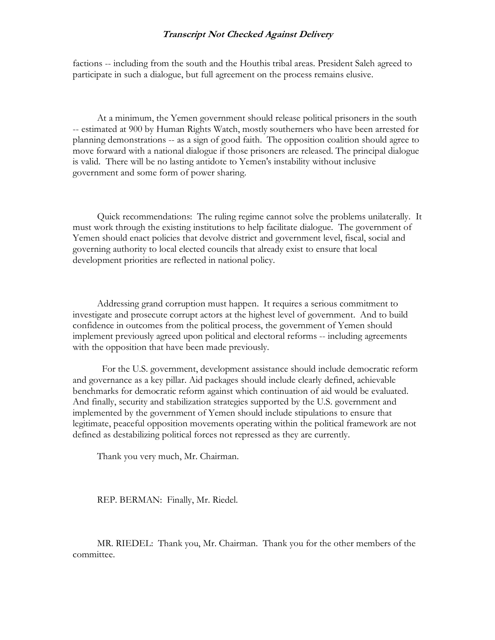factions -- including from the south and the Houthis tribal areas. President Saleh agreed to participate in such a dialogue, but full agreement on the process remains elusive.

 At a minimum, the Yemen government should release political prisoners in the south -- estimated at 900 by Human Rights Watch, mostly southerners who have been arrested for planning demonstrations -- as a sign of good faith. The opposition coalition should agree to move forward with a national dialogue if those prisoners are released. The principal dialogue is valid. There will be no lasting antidote to Yemen's instability without inclusive government and some form of power sharing.

 Quick recommendations: The ruling regime cannot solve the problems unilaterally. It must work through the existing institutions to help facilitate dialogue. The government of Yemen should enact policies that devolve district and government level, fiscal, social and governing authority to local elected councils that already exist to ensure that local development priorities are reflected in national policy.

 Addressing grand corruption must happen. It requires a serious commitment to investigate and prosecute corrupt actors at the highest level of government. And to build confidence in outcomes from the political process, the government of Yemen should implement previously agreed upon political and electoral reforms -- including agreements with the opposition that have been made previously.

 For the U.S. government, development assistance should include democratic reform and governance as a key pillar. Aid packages should include clearly defined, achievable benchmarks for democratic reform against which continuation of aid would be evaluated. And finally, security and stabilization strategies supported by the U.S. government and implemented by the government of Yemen should include stipulations to ensure that legitimate, peaceful opposition movements operating within the political framework are not defined as destabilizing political forces not repressed as they are currently.

Thank you very much, Mr. Chairman.

REP. BERMAN: Finally, Mr. Riedel.

 MR. RIEDEL: Thank you, Mr. Chairman. Thank you for the other members of the committee.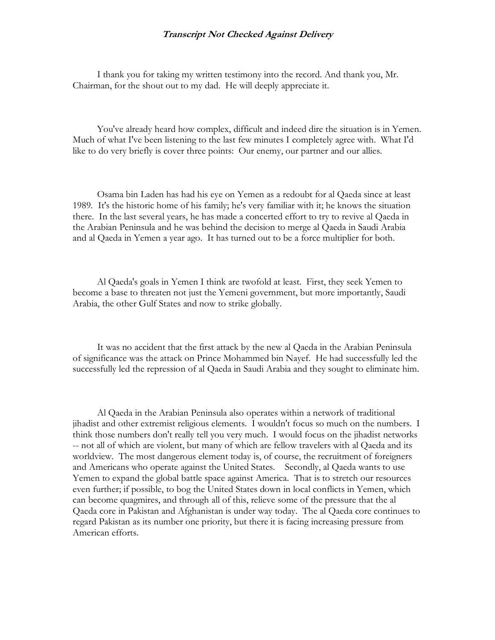I thank you for taking my written testimony into the record. And thank you, Mr. Chairman, for the shout out to my dad. He will deeply appreciate it.

 You've already heard how complex, difficult and indeed dire the situation is in Yemen. Much of what I've been listening to the last few minutes I completely agree with. What I'd like to do very briefly is cover three points: Our enemy, our partner and our allies.

 Osama bin Laden has had his eye on Yemen as a redoubt for al Qaeda since at least 1989. It's the historic home of his family; he's very familiar with it; he knows the situation there. In the last several years, he has made a concerted effort to try to revive al Qaeda in the Arabian Peninsula and he was behind the decision to merge al Qaeda in Saudi Arabia and al Qaeda in Yemen a year ago. It has turned out to be a force multiplier for both.

 Al Qaeda's goals in Yemen I think are twofold at least. First, they seek Yemen to become a base to threaten not just the Yemeni government, but more importantly, Saudi Arabia, the other Gulf States and now to strike globally.

 It was no accident that the first attack by the new al Qaeda in the Arabian Peninsula of significance was the attack on Prince Mohammed bin Nayef. He had successfully led the successfully led the repression of al Qaeda in Saudi Arabia and they sought to eliminate him.

 Al Qaeda in the Arabian Peninsula also operates within a network of traditional jihadist and other extremist religious elements. I wouldn't focus so much on the numbers. I think those numbers don't really tell you very much. I would focus on the jihadist networks -- not all of which are violent, but many of which are fellow travelers with al Qaeda and its worldview. The most dangerous element today is, of course, the recruitment of foreigners and Americans who operate against the United States. Secondly, al Qaeda wants to use Yemen to expand the global battle space against America. That is to stretch our resources even further; if possible, to bog the United States down in local conflicts in Yemen, which can become quagmires, and through all of this, relieve some of the pressure that the al Qaeda core in Pakistan and Afghanistan is under way today. The al Qaeda core continues to regard Pakistan as its number one priority, but there it is facing increasing pressure from American efforts.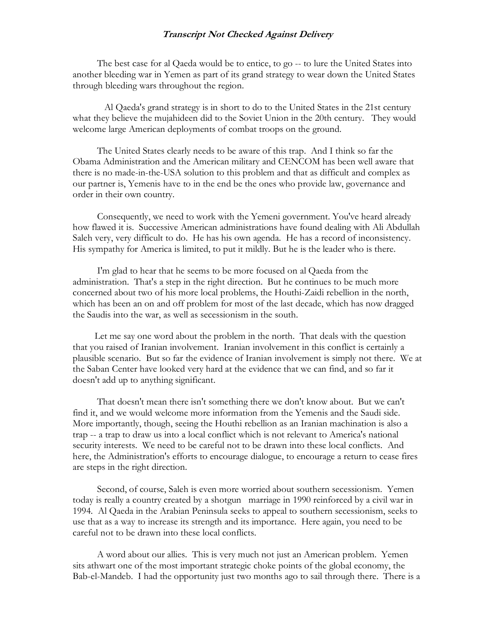The best case for al Qaeda would be to entice, to go -- to lure the United States into another bleeding war in Yemen as part of its grand strategy to wear down the United States through bleeding wars throughout the region.

 Al Qaeda's grand strategy is in short to do to the United States in the 21st century what they believe the mujahideen did to the Soviet Union in the 20th century. They would welcome large American deployments of combat troops on the ground.

 The United States clearly needs to be aware of this trap. And I think so far the Obama Administration and the American military and CENCOM has been well aware that there is no made-in-the-USA solution to this problem and that as difficult and complex as our partner is, Yemenis have to in the end be the ones who provide law, governance and order in their own country.

 Consequently, we need to work with the Yemeni government. You've heard already how flawed it is. Successive American administrations have found dealing with Ali Abdullah Saleh very, very difficult to do. He has his own agenda. He has a record of inconsistency. His sympathy for America is limited, to put it mildly. But he is the leader who is there.

 I'm glad to hear that he seems to be more focused on al Qaeda from the administration. That's a step in the right direction. But he continues to be much more concerned about two of his more local problems, the Houthi-Zaidi rebellion in the north, which has been an on and off problem for most of the last decade, which has now dragged the Saudis into the war, as well as secessionism in the south.

 Let me say one word about the problem in the north. That deals with the question that you raised of Iranian involvement. Iranian involvement in this conflict is certainly a plausible scenario. But so far the evidence of Iranian involvement is simply not there. We at the Saban Center have looked very hard at the evidence that we can find, and so far it doesn't add up to anything significant.

 That doesn't mean there isn't something there we don't know about. But we can't find it, and we would welcome more information from the Yemenis and the Saudi side. More importantly, though, seeing the Houthi rebellion as an Iranian machination is also a trap -- a trap to draw us into a local conflict which is not relevant to America's national security interests. We need to be careful not to be drawn into these local conflicts. And here, the Administration's efforts to encourage dialogue, to encourage a return to cease fires are steps in the right direction.

 Second, of course, Saleh is even more worried about southern secessionism. Yemen today is really a country created by a shotgun marriage in 1990 reinforced by a civil war in 1994. Al Qaeda in the Arabian Peninsula seeks to appeal to southern secessionism, seeks to use that as a way to increase its strength and its importance. Here again, you need to be careful not to be drawn into these local conflicts.

 A word about our allies. This is very much not just an American problem. Yemen sits athwart one of the most important strategic choke points of the global economy, the Bab-el-Mandeb. I had the opportunity just two months ago to sail through there. There is a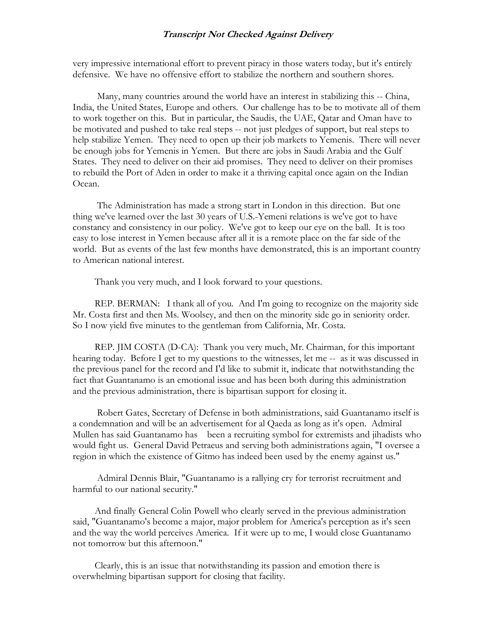very impressive international effort to prevent piracy in those waters today, but it's entirely defensive. We have no offensive effort to stabilize the northern and southern shores.

 Many, many countries around the world have an interest in stabilizing this -- China, India, the United States, Europe and others. Our challenge has to be to motivate all of them to work together on this. But in particular, the Saudis, the UAE, Qatar and Oman have to be motivated and pushed to take real steps -- not just pledges of support, but real steps to help stabilize Yemen. They need to open up their job markets to Yemenis. There will never be enough jobs for Yemenis in Yemen. But there are jobs in Saudi Arabia and the Gulf States. They need to deliver on their aid promises. They need to deliver on their promises to rebuild the Port of Aden in order to make it a thriving capital once again on the Indian Ocean.

 The Administration has made a strong start in London in this direction. But one thing we've learned over the last 30 years of U.S.-Yemeni relations is we've got to have constancy and consistency in our policy. We've got to keep our eye on the ball. It is too easy to lose interest in Yemen because after all it is a remote place on the far side of the world. But as events of the last few months have demonstrated, this is an important country to American national interest.

Thank you very much, and I look forward to your questions.

 REP. BERMAN: I thank all of you. And I'm going to recognize on the majority side Mr. Costa first and then Ms. Woolsey, and then on the minority side go in seniority order. So I now yield five minutes to the gentleman from California, Mr. Costa.

 REP. JIM COSTA (D-CA): Thank you very much, Mr. Chairman, for this important hearing today. Before I get to my questions to the witnesses, let me -- as it was discussed in the previous panel for the record and I'd like to submit it, indicate that notwithstanding the fact that Guantanamo is an emotional issue and has been both during this administration and the previous administration, there is bipartisan support for closing it.

 Robert Gates, Secretary of Defense in both administrations, said Guantanamo itself is a condemnation and will be an advertisement for al Qaeda as long as it's open. Admiral Mullen has said Guantanamo has been a recruiting symbol for extremists and jihadists who would fight us. General David Petraeus and serving both administrations again, "I oversee a region in which the existence of Gitmo has indeed been used by the enemy against us."

 Admiral Dennis Blair, "Guantanamo is a rallying cry for terrorist recruitment and harmful to our national security."

 And finally General Colin Powell who clearly served in the previous administration said, "Guantanamo's become a major, major problem for America's perception as it's seen and the way the world perceives America. If it were up to me, I would close Guantanamo not tomorrow but this afternoon."

 Clearly, this is an issue that notwithstanding its passion and emotion there is overwhelming bipartisan support for closing that facility.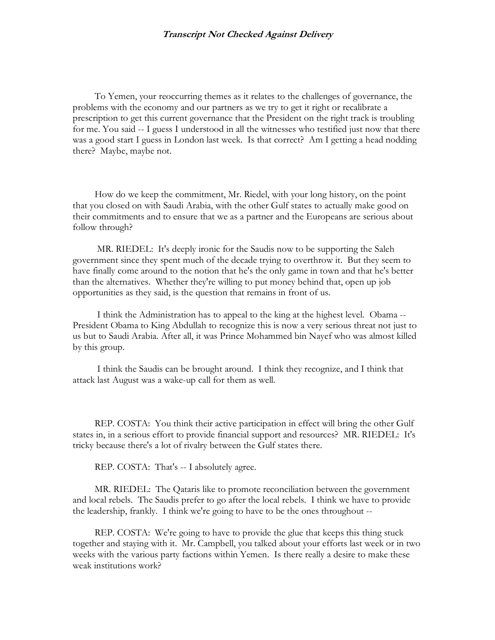To Yemen, your reoccurring themes as it relates to the challenges of governance, the problems with the economy and our partners as we try to get it right or recalibrate a prescription to get this current governance that the President on the right track is troubling for me. You said -- I guess I understood in all the witnesses who testified just now that there was a good start I guess in London last week. Is that correct? Am I getting a head nodding there? Maybe, maybe not.

 How do we keep the commitment, Mr. Riedel, with your long history, on the point that you closed on with Saudi Arabia, with the other Gulf states to actually make good on their commitments and to ensure that we as a partner and the Europeans are serious about follow through?

 MR. RIEDEL: It's deeply ironic for the Saudis now to be supporting the Saleh government since they spent much of the decade trying to overthrow it. But they seem to have finally come around to the notion that he's the only game in town and that he's better than the alternatives. Whether they're willing to put money behind that, open up job opportunities as they said, is the question that remains in front of us.

 I think the Administration has to appeal to the king at the highest level. Obama -- President Obama to King Abdullah to recognize this is now a very serious threat not just to us but to Saudi Arabia. After all, it was Prince Mohammed bin Nayef who was almost killed by this group.

 I think the Saudis can be brought around. I think they recognize, and I think that attack last August was a wake-up call for them as well.

 REP. COSTA: You think their active participation in effect will bring the other Gulf states in, in a serious effort to provide financial support and resources? MR. RIEDEL: It's tricky because there's a lot of rivalry between the Gulf states there.

REP. COSTA: That's -- I absolutely agree.

 MR. RIEDEL: The Qataris like to promote reconciliation between the government and local rebels. The Saudis prefer to go after the local rebels. I think we have to provide the leadership, frankly. I think we're going to have to be the ones throughout --

 REP. COSTA: We're going to have to provide the glue that keeps this thing stuck together and staying with it. Mr. Campbell, you talked about your efforts last week or in two weeks with the various party factions within Yemen. Is there really a desire to make these weak institutions work?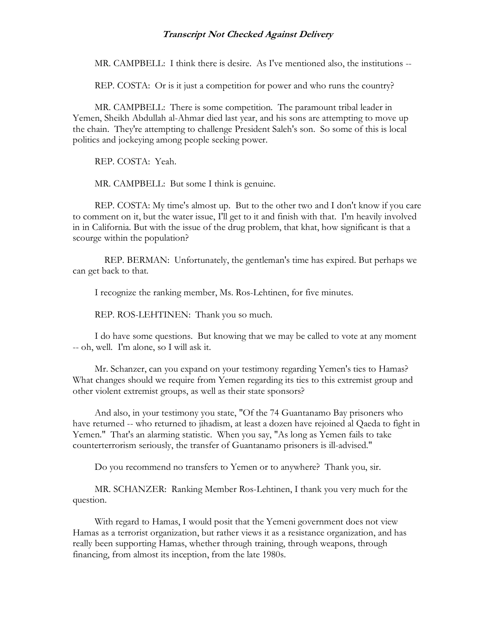MR. CAMPBELL: I think there is desire. As I've mentioned also, the institutions --

REP. COSTA: Or is it just a competition for power and who runs the country?

 MR. CAMPBELL: There is some competition. The paramount tribal leader in Yemen, Sheikh Abdullah al-Ahmar died last year, and his sons are attempting to move up the chain. They're attempting to challenge President Saleh's son. So some of this is local politics and jockeying among people seeking power.

REP. COSTA: Yeah.

MR. CAMPBELL: But some I think is genuine.

 REP. COSTA: My time's almost up. But to the other two and I don't know if you care to comment on it, but the water issue, I'll get to it and finish with that. I'm heavily involved in in California. But with the issue of the drug problem, that khat, how significant is that a scourge within the population?

 REP. BERMAN: Unfortunately, the gentleman's time has expired. But perhaps we can get back to that.

I recognize the ranking member, Ms. Ros-Lehtinen, for five minutes.

REP. ROS-LEHTINEN: Thank you so much.

 I do have some questions. But knowing that we may be called to vote at any moment -- oh, well. I'm alone, so I will ask it.

 Mr. Schanzer, can you expand on your testimony regarding Yemen's ties to Hamas? What changes should we require from Yemen regarding its ties to this extremist group and other violent extremist groups, as well as their state sponsors?

 And also, in your testimony you state, "Of the 74 Guantanamo Bay prisoners who have returned -- who returned to jihadism, at least a dozen have rejoined al Qaeda to fight in Yemen." That's an alarming statistic. When you say, "As long as Yemen fails to take counterterrorism seriously, the transfer of Guantanamo prisoners is ill-advised."

Do you recommend no transfers to Yemen or to anywhere? Thank you, sir.

 MR. SCHANZER: Ranking Member Ros-Lehtinen, I thank you very much for the question.

 With regard to Hamas, I would posit that the Yemeni government does not view Hamas as a terrorist organization, but rather views it as a resistance organization, and has really been supporting Hamas, whether through training, through weapons, through financing, from almost its inception, from the late 1980s.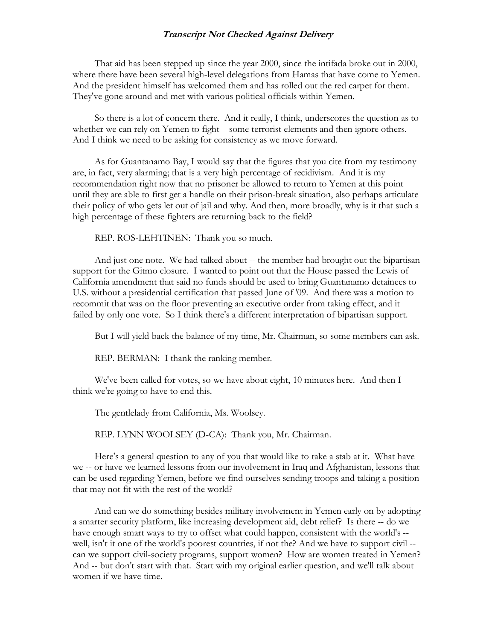That aid has been stepped up since the year 2000, since the intifada broke out in 2000, where there have been several high-level delegations from Hamas that have come to Yemen. And the president himself has welcomed them and has rolled out the red carpet for them. They've gone around and met with various political officials within Yemen.

 So there is a lot of concern there. And it really, I think, underscores the question as to whether we can rely on Yemen to fight some terrorist elements and then ignore others. And I think we need to be asking for consistency as we move forward.

 As for Guantanamo Bay, I would say that the figures that you cite from my testimony are, in fact, very alarming; that is a very high percentage of recidivism. And it is my recommendation right now that no prisoner be allowed to return to Yemen at this point until they are able to first get a handle on their prison-break situation, also perhaps articulate their policy of who gets let out of jail and why. And then, more broadly, why is it that such a high percentage of these fighters are returning back to the field?

REP. ROS-LEHTINEN: Thank you so much.

And just one note. We had talked about -- the member had brought out the bipartisan support for the Gitmo closure. I wanted to point out that the House passed the Lewis of California amendment that said no funds should be used to bring Guantanamo detainees to U.S. without a presidential certification that passed June of '09. And there was a motion to recommit that was on the floor preventing an executive order from taking effect, and it failed by only one vote. So I think there's a different interpretation of bipartisan support.

But I will yield back the balance of my time, Mr. Chairman, so some members can ask.

REP. BERMAN: I thank the ranking member.

 We've been called for votes, so we have about eight, 10 minutes here. And then I think we're going to have to end this.

The gentlelady from California, Ms. Woolsey.

REP. LYNN WOOLSEY (D-CA): Thank you, Mr. Chairman.

 Here's a general question to any of you that would like to take a stab at it. What have we -- or have we learned lessons from our involvement in Iraq and Afghanistan, lessons that can be used regarding Yemen, before we find ourselves sending troops and taking a position that may not fit with the rest of the world?

 And can we do something besides military involvement in Yemen early on by adopting a smarter security platform, like increasing development aid, debt relief? Is there -- do we have enough smart ways to try to offset what could happen, consistent with the world's - well, isn't it one of the world's poorest countries, if not the? And we have to support civil - can we support civil-society programs, support women? How are women treated in Yemen? And -- but don't start with that. Start with my original earlier question, and we'll talk about women if we have time.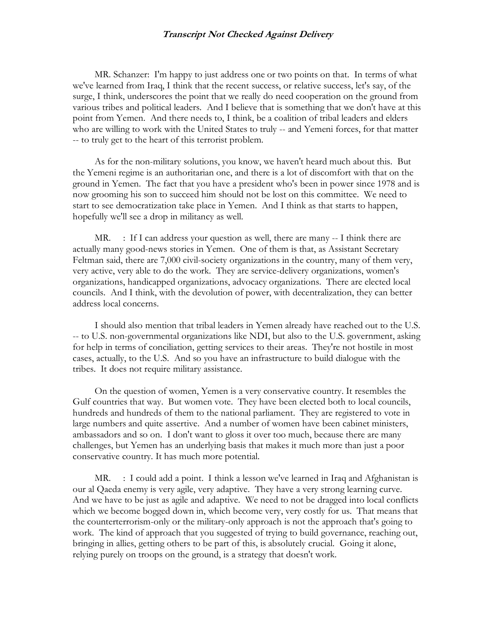MR. Schanzer: I'm happy to just address one or two points on that. In terms of what we've learned from Iraq, I think that the recent success, or relative success, let's say, of the surge, I think, underscores the point that we really do need cooperation on the ground from various tribes and political leaders. And I believe that is something that we don't have at this point from Yemen. And there needs to, I think, be a coalition of tribal leaders and elders who are willing to work with the United States to truly -- and Yemeni forces, for that matter -- to truly get to the heart of this terrorist problem.

 As for the non-military solutions, you know, we haven't heard much about this. But the Yemeni regime is an authoritarian one, and there is a lot of discomfort with that on the ground in Yemen. The fact that you have a president who's been in power since 1978 and is now grooming his son to succeed him should not be lost on this committee. We need to start to see democratization take place in Yemen. And I think as that starts to happen, hopefully we'll see a drop in militancy as well.

MR. : If I can address your question as well, there are many -- I think there are actually many good-news stories in Yemen. One of them is that, as Assistant Secretary Feltman said, there are 7,000 civil-society organizations in the country, many of them very, very active, very able to do the work. They are service-delivery organizations, women's organizations, handicapped organizations, advocacy organizations. There are elected local councils. And I think, with the devolution of power, with decentralization, they can better address local concerns.

 I should also mention that tribal leaders in Yemen already have reached out to the U.S. -- to U.S. non-governmental organizations like NDI, but also to the U.S. government, asking for help in terms of conciliation, getting services to their areas. They're not hostile in most cases, actually, to the U.S. And so you have an infrastructure to build dialogue with the tribes. It does not require military assistance.

 On the question of women, Yemen is a very conservative country. It resembles the Gulf countries that way. But women vote. They have been elected both to local councils, hundreds and hundreds of them to the national parliament. They are registered to vote in large numbers and quite assertive. And a number of women have been cabinet ministers, ambassadors and so on. I don't want to gloss it over too much, because there are many challenges, but Yemen has an underlying basis that makes it much more than just a poor conservative country. It has much more potential.

 MR. : I could add a point. I think a lesson we've learned in Iraq and Afghanistan is our al Qaeda enemy is very agile, very adaptive. They have a very strong learning curve. And we have to be just as agile and adaptive. We need to not be dragged into local conflicts which we become bogged down in, which become very, very costly for us. That means that the counterterrorism-only or the military-only approach is not the approach that's going to work. The kind of approach that you suggested of trying to build governance, reaching out, bringing in allies, getting others to be part of this, is absolutely crucial. Going it alone, relying purely on troops on the ground, is a strategy that doesn't work.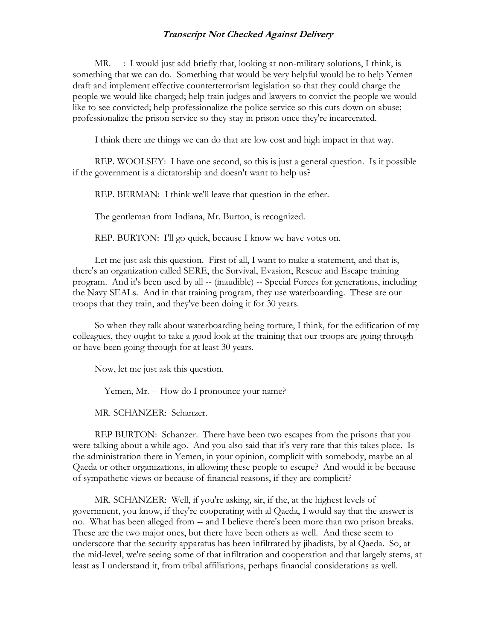MR. : I would just add briefly that, looking at non-military solutions, I think, is something that we can do. Something that would be very helpful would be to help Yemen draft and implement effective counterterrorism legislation so that they could charge the people we would like charged; help train judges and lawyers to convict the people we would like to see convicted; help professionalize the police service so this cuts down on abuse; professionalize the prison service so they stay in prison once they're incarcerated.

I think there are things we can do that are low cost and high impact in that way.

 REP. WOOLSEY: I have one second, so this is just a general question. Is it possible if the government is a dictatorship and doesn't want to help us?

REP. BERMAN: I think we'll leave that question in the ether.

The gentleman from Indiana, Mr. Burton, is recognized.

REP. BURTON: I'll go quick, because I know we have votes on.

 Let me just ask this question. First of all, I want to make a statement, and that is, there's an organization called SERE, the Survival, Evasion, Rescue and Escape training program. And it's been used by all -- (inaudible) -- Special Forces for generations, including the Navy SEALs. And in that training program, they use waterboarding. These are our troops that they train, and they've been doing it for 30 years.

 So when they talk about waterboarding being torture, I think, for the edification of my colleagues, they ought to take a good look at the training that our troops are going through or have been going through for at least 30 years.

Now, let me just ask this question.

Yemen, Mr. -- How do I pronounce your name?

MR. SCHANZER: Schanzer.

 REP BURTON: Schanzer. There have been two escapes from the prisons that you were talking about a while ago. And you also said that it's very rare that this takes place. Is the administration there in Yemen, in your opinion, complicit with somebody, maybe an al Qaeda or other organizations, in allowing these people to escape? And would it be because of sympathetic views or because of financial reasons, if they are complicit?

MR. SCHANZER: Well, if you're asking, sir, if the, at the highest levels of government, you know, if they're cooperating with al Qaeda, I would say that the answer is no. What has been alleged from -- and I believe there's been more than two prison breaks. These are the two major ones, but there have been others as well. And these seem to underscore that the security apparatus has been infiltrated by jihadists, by al Qaeda. So, at the mid-level, we're seeing some of that infiltration and cooperation and that largely stems, at least as I understand it, from tribal affiliations, perhaps financial considerations as well.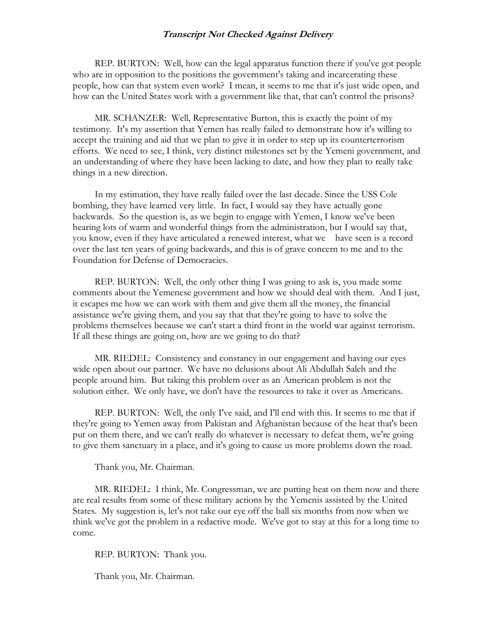REP. BURTON: Well, how can the legal apparatus function there if you've got people who are in opposition to the positions the government's taking and incarcerating these people, how can that system even work? I mean, it seems to me that it's just wide open, and how can the United States work with a government like that, that can't control the prisons?

 MR. SCHANZER: Well, Representative Burton, this is exactly the point of my testimony. It's my assertion that Yemen has really failed to demonstrate how it's willing to accept the training and aid that we plan to give it in order to step up its counterterrorism efforts. We need to see, I think, very distinct milestones set by the Yemeni government, and an understanding of where they have been lacking to date, and how they plan to really take things in a new direction.

 In my estimation, they have really failed over the last decade. Since the USS Cole bombing, they have learned very little. In fact, I would say they have actually gone backwards. So the question is, as we begin to engage with Yemen, I know we've been hearing lots of warm and wonderful things from the administration, but I would say that, you know, even if they have articulated a renewed interest, what we have seen is a record over the last ten years of going backwards, and this is of grave concern to me and to the Foundation for Defense of Democracies.

 REP. BURTON: Well, the only other thing I was going to ask is, you made some comments about the Yemenese government and how we should deal with them. And I just, it escapes me how we can work with them and give them all the money, the financial assistance we're giving them, and you say that that they're going to have to solve the problems themselves because we can't start a third front in the world war against terrorism. If all these things are going on, how are we going to do that?

 MR. RIEDEL: Consistency and constancy in our engagement and having our eyes wide open about our partner. We have no delusions about Ali Abdullah Saleh and the people around him. But taking this problem over as an American problem is not the solution either. We only have, we don't have the resources to take it over as Americans.

 REP. BURTON: Well, the only I've said, and I'll end with this. It seems to me that if they're going to Yemen away from Pakistan and Afghanistan because of the heat that's been put on them there, and we can't really do whatever is necessary to defeat them, we're going to give them sanctuary in a place, and it's going to cause us more problems down the road.

Thank you, Mr. Chairman.

 MR. RIEDEL: I think, Mr. Congressman, we are putting heat on them now and there are real results from some of these military actions by the Yemenis assisted by the United States. My suggestion is, let's not take our eye off the ball six months from now when we think we've got the problem in a redactive mode. We've got to stay at this for a long time to come.

REP. BURTON: Thank you.

Thank you, Mr. Chairman.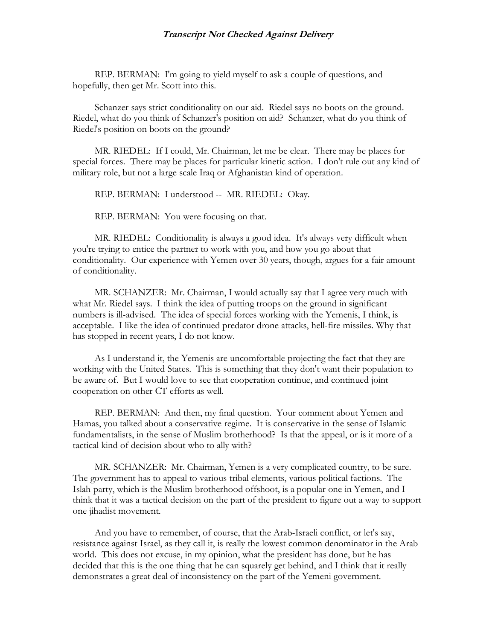REP. BERMAN: I'm going to yield myself to ask a couple of questions, and hopefully, then get Mr. Scott into this.

 Schanzer says strict conditionality on our aid. Riedel says no boots on the ground. Riedel, what do you think of Schanzer's position on aid? Schanzer, what do you think of Riedel's position on boots on the ground?

 MR. RIEDEL: If I could, Mr. Chairman, let me be clear. There may be places for special forces. There may be places for particular kinetic action. I don't rule out any kind of military role, but not a large scale Iraq or Afghanistan kind of operation.

REP. BERMAN: I understood -- MR. RIEDEL: Okay.

REP. BERMAN: You were focusing on that.

 MR. RIEDEL: Conditionality is always a good idea. It's always very difficult when you're trying to entice the partner to work with you, and how you go about that conditionality. Our experience with Yemen over 30 years, though, argues for a fair amount of conditionality.

 MR. SCHANZER: Mr. Chairman, I would actually say that I agree very much with what Mr. Riedel says. I think the idea of putting troops on the ground in significant numbers is ill-advised. The idea of special forces working with the Yemenis, I think, is acceptable. I like the idea of continued predator drone attacks, hell-fire missiles. Why that has stopped in recent years, I do not know.

 As I understand it, the Yemenis are uncomfortable projecting the fact that they are working with the United States. This is something that they don't want their population to be aware of. But I would love to see that cooperation continue, and continued joint cooperation on other CT efforts as well.

 REP. BERMAN: And then, my final question. Your comment about Yemen and Hamas, you talked about a conservative regime. It is conservative in the sense of Islamic fundamentalists, in the sense of Muslim brotherhood? Is that the appeal, or is it more of a tactical kind of decision about who to ally with?

 MR. SCHANZER: Mr. Chairman, Yemen is a very complicated country, to be sure. The government has to appeal to various tribal elements, various political factions. The Islah party, which is the Muslim brotherhood offshoot, is a popular one in Yemen, and I think that it was a tactical decision on the part of the president to figure out a way to support one jihadist movement.

 And you have to remember, of course, that the Arab-Israeli conflict, or let's say, resistance against Israel, as they call it, is really the lowest common denominator in the Arab world. This does not excuse, in my opinion, what the president has done, but he has decided that this is the one thing that he can squarely get behind, and I think that it really demonstrates a great deal of inconsistency on the part of the Yemeni government.